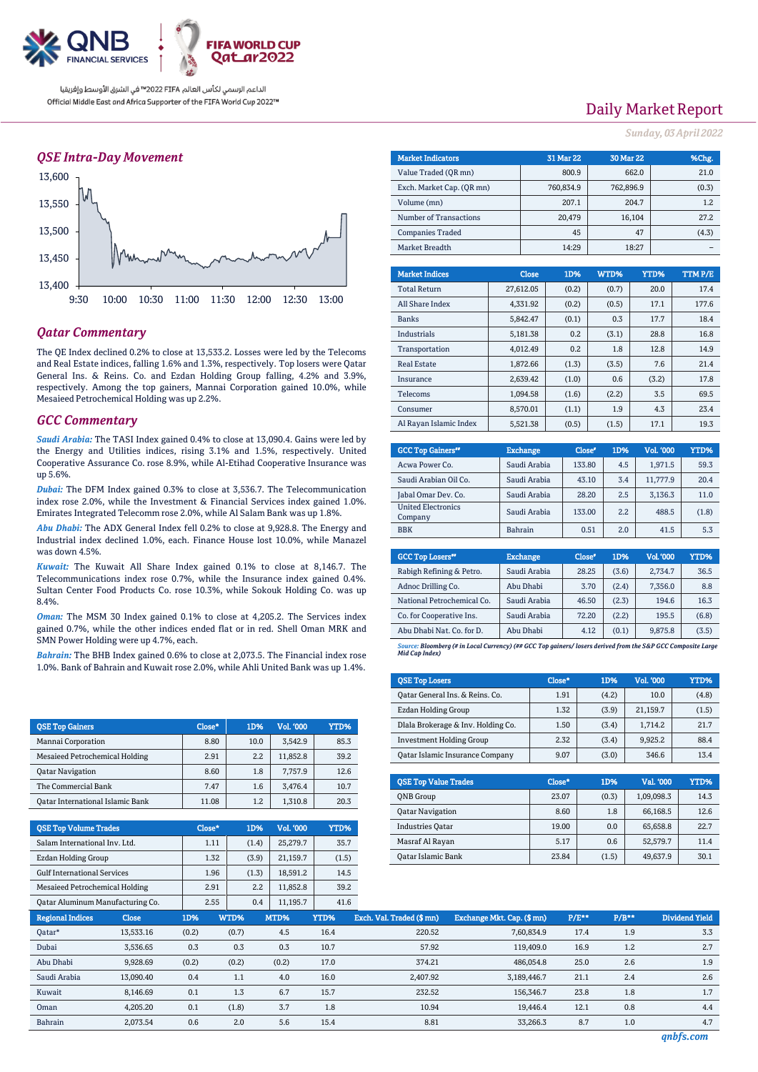

### *QSE Intra-Day Movement*



### *Qatar Commentary*

The QE Index declined 0.2% to close at 13,533.2. Losses were led by the Telecoms and Real Estate indices, falling 1.6% and 1.3%, respectively. Top losers were Qatar General Ins. & Reins. Co. and Ezdan Holding Group falling, 4.2% and 3.9%, respectively. Among the top gainers, Mannai Corporation gained 10.0%, while Mesaieed Petrochemical Holding was up 2.2%.

#### *GCC Commentary*

*Saudi Arabia:* The TASI Index gained 0.4% to close at 13,090.4. Gains were led by the Energy and Utilities indices, rising 3.1% and 1.5%, respectively. United Cooperative Assurance Co. rose 8.9%, while Al-Etihad Cooperative Insurance was up 5.6%.

*Dubai:* The DFM Index gained 0.3% to close at 3,536.7. The Telecommunication index rose 2.0%, while the Investment & Financial Services index gained 1.0%. Emirates Integrated Telecomm rose 2.0%, while Al Salam Bank was up 1.8%.

*Abu Dhabi:* The ADX General Index fell 0.2% to close at 9,928.8. The Energy and Industrial index declined 1.0%, each. Finance House lost 10.0%, while Manazel was down 4.5%.

*Kuwait:* The Kuwait All Share Index gained 0.1% to close at 8,146.7. The Telecommunications index rose 0.7%, while the Insurance index gained 0.4%. Sultan Center Food Products Co. rose 10.3%, while Sokouk Holding Co. was up 8.4%.

*Oman:* The MSM 30 Index gained 0.1% to close at 4,205.2. The Services index gained 0.7%, while the other indices ended flat or in red. Shell Oman MRK and SMN Power Holding were up 4.7%, each.

*Bahrain:* The BHB Index gained 0.6% to close at 2,073.5. The Financial index rose 1.0%. Bank of Bahrain and Kuwait rose 2.0%, while Ahli United Bank was up 1.4%.

| <b>OSE Top Gainers</b>           | Close* | 1D%  | Vol. '000 | YTD% |
|----------------------------------|--------|------|-----------|------|
| Mannai Corporation               | 8.80   | 10.0 | 3.542.9   | 85.3 |
| Mesaieed Petrochemical Holding   | 2.91   | 2.2  | 11.852.8  | 39.2 |
| <b>Qatar Navigation</b>          | 8.60   | 1.8  | 7.757.9   | 12.6 |
| The Commercial Bank              | 7.47   | 1.6  | 3.476.4   | 10.7 |
| Oatar International Islamic Bank | 11.08  | 1.2  | 1.310.8   | 20.3 |

| <b>OSE Top Volume Trades</b>       | Close* | 1D%   | <b>Vol. '000</b> | YTD%  |
|------------------------------------|--------|-------|------------------|-------|
| Salam International Inv. Ltd.      | 1.11   | (1.4) | 25,279.7         | 35.7  |
| Ezdan Holding Group                | 1.32   | (3.9) | 21,159.7         | (1.5) |
| <b>Gulf International Services</b> | 1.96   | (1.3) | 18.591.2         | 14.5  |
| Mesaieed Petrochemical Holding     | 2.91   | 2.2   | 11.852.8         | 39.2  |
| Oatar Aluminum Manufacturing Co.   | 2.55   | 0.4   | 11.195.7         | 41.6  |

## Daily Market Report

*Sunday, 03April 2022*

| <b>Market Indicators</b>  | <b>31 Mar 22</b> | <b>30 Mar 22</b> | %Chg. |
|---------------------------|------------------|------------------|-------|
| Value Traded (OR mn)      | 800.9            | 662.0            | 21.0  |
| Exch. Market Cap. (OR mn) | 760,834.9        | 762.896.9        | (0.3) |
| Volume (mn)               | 207.1            | 204.7            | 1.2   |
| Number of Transactions    | 20.479           | 16,104           | 27.2  |
| <b>Companies Traded</b>   | 45               | 47               | (4.3) |
| Market Breadth            | 14:29            | 18:27            |       |

| <b>Market Indices</b>  | Close     | 1D%   | WTD%  | YTD%  | TTMP/E |
|------------------------|-----------|-------|-------|-------|--------|
| <b>Total Return</b>    | 27,612.05 | (0.2) | (0.7) | 20.0  | 17.4   |
| All Share Index        | 4.331.92  | (0.2) | (0.5) | 17.1  | 177.6  |
| <b>Banks</b>           | 5,842.47  | (0.1) | 0.3   | 17.7  | 18.4   |
| <b>Industrials</b>     | 5,181.38  | 0.2   | (3.1) | 28.8  | 16.8   |
| Transportation         | 4.012.49  | 0.2   | 1.8   | 12.8  | 14.9   |
| <b>Real Estate</b>     | 1,872.66  | (1.3) | (3.5) | 7.6   | 21.4   |
| Insurance              | 2,639.42  | (1.0) | 0.6   | (3.2) | 17.8   |
| <b>Telecoms</b>        | 1.094.58  | (1.6) | (2.2) | 3.5   | 69.5   |
| Consumer               | 8.570.01  | (1.1) | 1.9   | 4.3   | 23.4   |
| Al Rayan Islamic Index | 5.521.38  | (0.5) | (1.5) | 17.1  | 19.3   |

| <b>GCC Top Gainers</b> <sup>#</sup>  | <b>Exchange</b> | Close <sup>®</sup> | 1D% | Vol. '000 | YTD%  |
|--------------------------------------|-----------------|--------------------|-----|-----------|-------|
| Acwa Power Co.                       | Saudi Arabia    | 133.80             | 4.5 | 1.971.5   | 59.3  |
| Saudi Arabian Oil Co.                | Saudi Arabia    | 43.10              | 3.4 | 11.777.9  | 20.4  |
| Jabal Omar Dev. Co.                  | Saudi Arabia    | 28.20              | 2.5 | 3,136.3   | 11.0  |
| <b>United Electronics</b><br>Company | Saudi Arabia    | 133.00             | 2.2 | 488.5     | (1.8) |
| <b>BBK</b>                           | <b>Bahrain</b>  | 0.51               | 2.0 | 41.5      | 5.3   |

| <b>GCC Top Losers</b> <sup>82</sup> | <b>Exchange</b> | Close <sup>®</sup> | 1D%   | <b>Vol.'000</b> | YTD%  |
|-------------------------------------|-----------------|--------------------|-------|-----------------|-------|
| Rabigh Refining & Petro.            | Saudi Arabia    | 28.25              | (3.6) | 2.734.7         | 36.5  |
| Adnoc Drilling Co.                  | Abu Dhabi       | 3.70               | (2.4) | 7.356.0         | 8.8   |
| National Petrochemical Co.          | Saudi Arabia    | 46.50              | (2.3) | 194.6           | 16.3  |
| Co. for Cooperative Ins.            | Saudi Arabia    | 72.20              | (2.2) | 195.5           | (6.8) |
| Abu Dhabi Nat. Co. for D.           | Abu Dhabi       | 4.12               | (0.1) | 9,875.8         | (3.5) |

*Source: Bloomberg (# in Local Currency) (## GCC Top gainers/ losers derived from the S&P GCC Composite Large Mid Cap Index)*

| <b>OSE Top Losers</b>              | Close* | 1D%   | <b>Vol. '000</b> | YTD%  |
|------------------------------------|--------|-------|------------------|-------|
| Oatar General Ins. & Reins. Co.    | 1.91   | (4.2) | 10.0             | (4.8) |
| Ezdan Holding Group                | 1.32   | (3.9) | 21.159.7         | (1.5) |
| Dlala Brokerage & Inv. Holding Co. | 1.50   | (3.4) | 1.714.2          | 21.7  |
| <b>Investment Holding Group</b>    | 2.32   | (3.4) | 9.925.2          | 88.4  |
| Qatar Islamic Insurance Company    | 9.07   | (3.0) | 346.6            | 13.4  |

| <b>OSE Top Value Trades</b> | Close* | 1D%   | Val. '000  | YTD% |
|-----------------------------|--------|-------|------------|------|
| <b>ONB</b> Group            | 23.07  | (0.3) | 1,09,098.3 | 14.3 |
| <b>Qatar Navigation</b>     | 8.60   | 1.8   | 66,168.5   | 12.6 |
| <b>Industries Oatar</b>     | 19.00  | 0.0   | 65,658.8   | 22.7 |
| Masraf Al Rayan             | 5.17   | 0.6   | 52,579.7   | 11.4 |
| Oatar Islamic Bank          | 23.84  | (1.5) | 49,637.9   | 30.1 |

| <b>Regional Indices</b> | <b>Close</b> | 1D%   | WTD%  | MTD%  | YTD% | Exch. Val. Traded (\$ mn) | Exchange Mkt. Cap. (\$mn), | $P/E***$ | $P/B**$ | Dividend Yield |
|-------------------------|--------------|-------|-------|-------|------|---------------------------|----------------------------|----------|---------|----------------|
| Qatar*                  | 13,533.16    | (0.2) | (0.7) | 4.5   | 16.4 | 220.52                    | 7,60,834.9                 | 17.4     | 1.9     | 3.3            |
| Dubai                   | 3,536.65     | 0.3   | 0.3   | 0.3   | 10.7 | 57.92                     | 119,409.0                  | 16.9     | 1.2     | 2.7            |
| Abu Dhabi               | 9,928.69     | (0.2) | (0.2) | (0.2) | 17.0 | 374.21                    | 486.054.8                  | 25.0     | 2.6     | 1.9            |
| Saudi Arabia            | 13,090.40    | 0.4   | 1.1   | 4.0   | 16.0 | 2,407.92                  | 3,189,446.7                | 21.1     | 2.4     | 2.6            |
| Kuwait                  | 8.146.69     | 0.1   | 1.3   | 6.7   | 15.7 | 232.52                    | 156,346.7                  | 23.8     | 1.8     | 1.7            |
| Oman                    | 4.205.20     | 0.1   | (1.8) | 3.7   | 1.8  | 10.94                     | 19.446.4                   | 12.1     | 0.8     | 4.4            |
| Bahrain                 | 2.073.54     | 0.6   | 2.0   | 5.6   | 15.4 | 8.81                      | 33.266.3                   | 8.7      | 1.0     | 4.7            |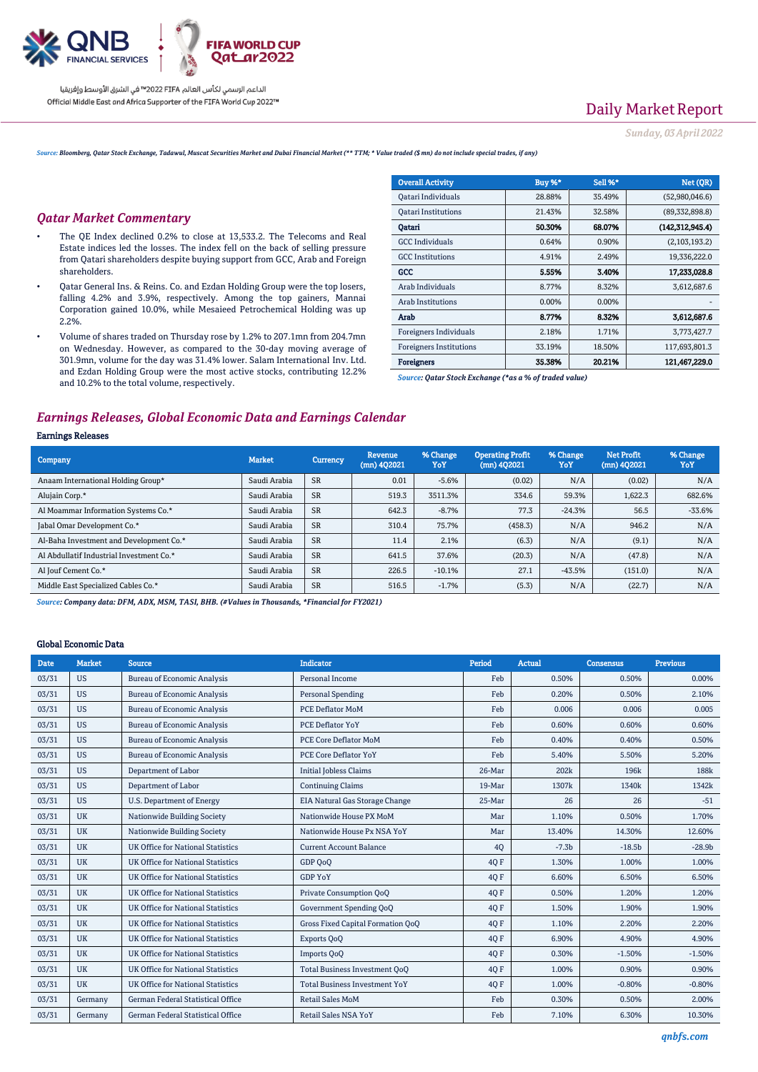

# Daily Market Report

### *Sunday, 03April 2022*

*Source: Bloomberg, Qatar Stock Exchange, Tadawul, Muscat Securities Market and Dubai Financial Market (\*\* TTM; \* Value traded (\$ mn) do not include special trades, if any)*

### *Qatar Market Commentary*

- The QE Index declined 0.2% to close at 13,533.2. The Telecoms and Real Estate indices led the losses. The index fell on the back of selling pressure from Qatari shareholders despite buying support from GCC, Arab and Foreign shareholders.
- Qatar General Ins. & Reins. Co. and Ezdan Holding Group were the top losers, falling 4.2% and 3.9%, respectively. Among the top gainers, Mannai Corporation gained 10.0%, while Mesaieed Petrochemical Holding was up 2.2%.
- Volume of shares traded on Thursday rose by 1.2% to 207.1mn from 204.7mn on Wednesday. However, as compared to the 30-day moving average of 301.9mn, volume for the day was 31.4% lower. Salam International Inv. Ltd. and Ezdan Holding Group were the most active stocks, contributing 12.2% and 10.2% to the total volume, respectively.

| <b>Overall Activity</b>        | <b>Buy %*</b> | Sell %*  | Net (OR)        |
|--------------------------------|---------------|----------|-----------------|
| Qatari Individuals             | 28.88%        | 35.49%   | (52,980,046.6)  |
| <b>Qatari Institutions</b>     | 21.43%        | 32.58%   | (89,332,898.8)  |
| Oatari                         | 50.30%        | 68.07%   | (142.312.945.4) |
| <b>GCC</b> Individuals         | 0.64%         | 0.90%    | (2,103,193.2)   |
| <b>GCC</b> Institutions        | 4.91%         | 2.49%    | 19.336.222.0    |
| GCC                            | 5.55%         | 3.40%    | 17,233,028.8    |
| Arab Individuals               | 8.77%         | 8.32%    | 3,612,687.6     |
| Arab Institutions              | $0.00\%$      | $0.00\%$ |                 |
| <b>Arab</b>                    | 8.77%         | 8.32%    | 3,612,687.6     |
| Foreigners Individuals         | 2.18%         | 1.71%    | 3,773,427.7     |
| <b>Foreigners Institutions</b> | 33.19%        | 18.50%   | 117,693,801.3   |
| <b>Foreigners</b>              | 35.38%        | 20.21%   | 121,467,229.0   |

*Source: Qatar Stock Exchange (\*as a % of traded value)*

### *Earnings Releases, Global Economic Data and Earnings Calendar*

#### Earnings Releases

| Company                                  | <b>Market</b> | <b>Currency</b> | Revenue<br>$(mn)$ 402021 | % Change<br>YoY | <b>Operating Profit</b><br>$(mn)$ 402021 | % Change<br>YoY | <b>Net Profit</b><br>$(mn)$ 402021 | % Change<br>YoY |
|------------------------------------------|---------------|-----------------|--------------------------|-----------------|------------------------------------------|-----------------|------------------------------------|-----------------|
| Anaam International Holding Group*       | Saudi Arabia  | <b>SR</b>       | 0.01                     | $-5.6%$         | (0.02)                                   | N/A             | (0.02)                             | N/A             |
| Alujain Corp.*                           | Saudi Arabia  | <b>SR</b>       | 519.3                    | 3511.3%         | 334.6                                    | 59.3%           | 1,622.3                            | 682.6%          |
| Al Moammar Information Systems Co.*      | Saudi Arabia  | <b>SR</b>       | 642.3                    | $-8.7%$         | 77.3                                     | $-24.3%$        | 56.5                               | $-33.6%$        |
| Jabal Omar Development Co.*              | Saudi Arabia  | <b>SR</b>       | 310.4                    | 75.7%           | (458.3)                                  | N/A             | 946.2                              | N/A             |
| Al-Baha Investment and Development Co.*  | Saudi Arabia  | <b>SR</b>       | 11.4                     | 2.1%            | (6.3)                                    | N/A             | (9.1)                              | N/A             |
| Al Abdullatif Industrial Investment Co.* | Saudi Arabia  | <b>SR</b>       | 641.5                    | 37.6%           | (20.3)                                   | N/A             | (47.8)                             | N/A             |
| Al Jouf Cement Co.*                      | Saudi Arabia  | <b>SR</b>       | 226.5                    | $-10.1%$        | 27.1                                     | $-43.5%$        | (151.0)                            | N/A             |
| Middle East Specialized Cables Co.*      | Saudi Arabia  | <b>SR</b>       | 516.5                    | $-1.7%$         | (5.3)                                    | N/A             | (22.7)                             | N/A             |

*Source: Company data: DFM, ADX, MSM, TASI, BHB. (#Values in Thousands, \*Financial for FY2021)*

#### Global Economic Data

| <b>Date</b> | <b>Market</b> | <b>Source</b>                            | <b>Indicator</b>                     | Period | <b>Actual</b> | <b>Consensus</b>  | <b>Previous</b>  |
|-------------|---------------|------------------------------------------|--------------------------------------|--------|---------------|-------------------|------------------|
| 03/31       | <b>US</b>     | <b>Bureau of Economic Analysis</b>       | Personal Income                      | Feb    | 0.50%         | 0.50%             | 0.00%            |
| 03/31       | <b>US</b>     | <b>Bureau of Economic Analysis</b>       | <b>Personal Spending</b>             | Feb    | 0.20%         | 0.50%             | 2.10%            |
| 03/31       | <b>US</b>     | <b>Bureau of Economic Analysis</b>       | <b>PCE Deflator MoM</b>              | Feb    | 0.006         | 0.006             | 0.005            |
| 03/31       | <b>US</b>     | <b>Bureau of Economic Analysis</b>       | <b>PCE Deflator YoY</b>              | Feb    | 0.60%         | 0.60%             | 0.60%            |
| 03/31       | <b>US</b>     | <b>Bureau of Economic Analysis</b>       | <b>PCE Core Deflator MoM</b>         | Feb    | 0.40%         | 0.40%             | 0.50%            |
| 03/31       | <b>US</b>     | <b>Bureau of Economic Analysis</b>       | <b>PCE Core Deflator YoY</b>         | Feb    | 5.40%         | 5.50%             | 5.20%            |
| 03/31       | <b>US</b>     | Department of Labor                      | <b>Initial Jobless Claims</b>        | 26-Mar | 202k          | 196 <sub>k</sub>  | 188 <sub>k</sub> |
| 03/31       | <b>US</b>     | Department of Labor                      | <b>Continuing Claims</b>             | 19-Mar | 1307k         | 1340 <sub>k</sub> | 1342k            |
| 03/31       | <b>US</b>     | <b>U.S. Department of Energy</b>         | EIA Natural Gas Storage Change       | 25-Mar | 26            | 26                | $-51$            |
| 03/31       | <b>UK</b>     | Nationwide Building Society              | Nationwide House PX MoM              | Mar    | 1.10%         | 0.50%             | 1.70%            |
| 03/31       | <b>UK</b>     | Nationwide Building Society              | Nationwide House Px NSA YoY          | Mar    | 13.40%        | 14.30%            | 12.60%           |
| 03/31       | <b>UK</b>     | <b>UK Office for National Statistics</b> | <b>Current Account Balance</b>       | 40     | $-7.3b$       | $-18.5b$          | $-28.9b$         |
| 03/31       | <b>UK</b>     | <b>UK Office for National Statistics</b> | GDP OoO                              | 40 F   | 1.30%         | 1.00%             | 1.00%            |
| 03/31       | <b>UK</b>     | <b>UK Office for National Statistics</b> | <b>GDP YoY</b>                       | 40 F   | 6.60%         | 6.50%             | 6.50%            |
| 03/31       | <b>UK</b>     | <b>UK Office for National Statistics</b> | Private Consumption QoQ              | 40 F   | 0.50%         | 1.20%             | 1.20%            |
| 03/31       | <b>UK</b>     | <b>UK Office for National Statistics</b> | Government Spending QoQ              | 40 F   | 1.50%         | 1.90%             | 1.90%            |
| 03/31       | <b>UK</b>     | <b>UK Office for National Statistics</b> | Gross Fixed Capital Formation QoQ    | 40 F   | 1.10%         | 2.20%             | 2.20%            |
| 03/31       | <b>UK</b>     | <b>UK Office for National Statistics</b> | Exports OoO                          | 40 F   | 6.90%         | 4.90%             | 4.90%            |
| 03/31       | <b>UK</b>     | UK Office for National Statistics        | Imports QoQ                          | 4QF    | 0.30%         | $-1.50%$          | $-1.50%$         |
| 03/31       | <b>UK</b>     | <b>UK Office for National Statistics</b> | Total Business Investment QoQ        | 4QF    | 1.00%         | 0.90%             | 0.90%            |
| 03/31       | <b>UK</b>     | <b>UK Office for National Statistics</b> | <b>Total Business Investment YoY</b> | 40 F   | 1.00%         | $-0.80%$          | $-0.80%$         |
| 03/31       | Germany       | German Federal Statistical Office        | <b>Retail Sales MoM</b>              | Feb    | 0.30%         | 0.50%             | 2.00%            |
| 03/31       | Germany       | German Federal Statistical Office        | Retail Sales NSA YoY                 | Feb    | 7.10%         | 6.30%             | 10.30%           |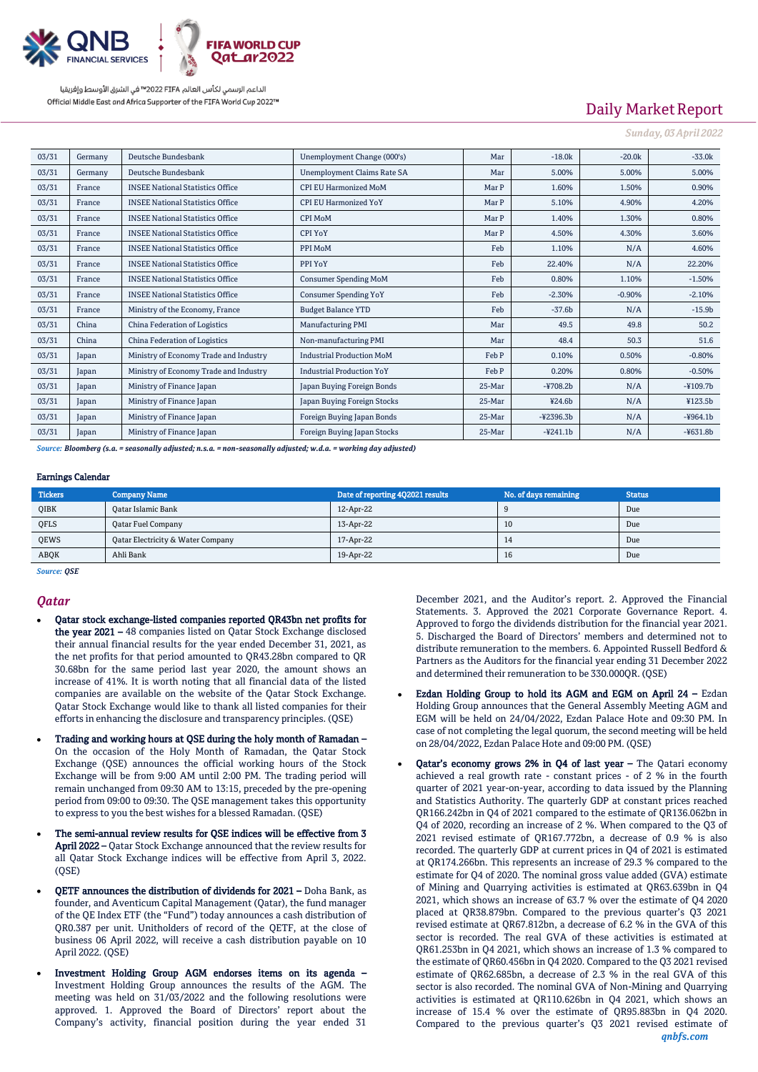

# Daily Market Report

*Sunday, 03April 2022*

| 03/31 | Germany | Deutsche Bundesbank                     | Unemployment Change (000's)        | Mar<br>$-18.0k$ |             | $-20.0k$ | $-33.0k$   |
|-------|---------|-----------------------------------------|------------------------------------|-----------------|-------------|----------|------------|
| 03/31 | Germany | Deutsche Bundesbank                     | <b>Unemployment Claims Rate SA</b> | Mar             | 5.00%       | 5.00%    | 5.00%      |
| 03/31 | France  | <b>INSEE National Statistics Office</b> | <b>CPI EU Harmonized MoM</b>       | Mar P           | 1.60%       | 1.50%    | 0.90%      |
| 03/31 | France  | <b>INSEE National Statistics Office</b> | <b>CPI EU Harmonized YoY</b>       | Mar P           | 5.10%       | 4.90%    | 4.20%      |
| 03/31 | France  | <b>INSEE National Statistics Office</b> | <b>CPI MoM</b>                     | Mar P<br>1.40%  |             | 1.30%    | 0.80%      |
| 03/31 | France  | <b>INSEE National Statistics Office</b> | <b>CPI YoY</b>                     | Mar P<br>4.50%  |             | 4.30%    | 3.60%      |
| 03/31 | France  | <b>INSEE National Statistics Office</b> | PPI MoM                            | Feb             | 1.10%       | N/A      | 4.60%      |
| 03/31 | France  | <b>INSEE National Statistics Office</b> | PPI YoY                            | Feb             | 22.40%      | N/A      | 22.20%     |
| 03/31 | France  | <b>INSEE National Statistics Office</b> | <b>Consumer Spending MoM</b>       | Feb             | 0.80%       | 1.10%    | $-1.50%$   |
| 03/31 | France  | <b>INSEE National Statistics Office</b> | <b>Consumer Spending YoY</b>       | Feb             | $-2.30%$    | $-0.90%$ | $-2.10%$   |
| 03/31 | France  | Ministry of the Economy, France         | <b>Budget Balance YTD</b>          | Feb             | $-37.6b$    | N/A      | $-15.9b$   |
| 03/31 | China   | China Federation of Logistics           | <b>Manufacturing PMI</b>           | Mar             | 49.5        | 49.8     | 50.2       |
| 03/31 | China   | China Federation of Logistics           | Non-manufacturing PMI              | Mar             | 48.4        | 50.3     | 51.6       |
| 03/31 | Japan   | Ministry of Economy Trade and Industry  | <b>Industrial Production MoM</b>   | Feb P           | 0.10%       | 0.50%    | $-0.80%$   |
| 03/31 | Japan   | Ministry of Economy Trade and Industry  | <b>Industrial Production YoY</b>   | Feb P           | 0.20%       | 0.80%    | $-0.50%$   |
| 03/31 | Japan   | Ministry of Finance Japan               | Japan Buying Foreign Bonds         | 25-Mar          | $-4708.2b$  | N/A      | $-4109.7b$ |
| 03/31 | Japan   | Ministry of Finance Japan               | Japan Buying Foreign Stocks        | 25-Mar          | ¥24.6b      | N/A      | ¥123.5b    |
| 03/31 | Japan   | Ministry of Finance Japan               | Foreign Buying Japan Bonds         | 25-Mar          | $-42396.3b$ | N/A      | $-4964.1b$ |
| 03/31 | Japan   | Ministry of Finance Japan               | <b>Foreign Buying Japan Stocks</b> | 25-Mar          | $-4241.1b$  | N/A      | $-4631.8b$ |

*Source: Bloomberg (s.a. = seasonally adjusted; n.s.a. = non-seasonally adjusted; w.d.a. = working day adjusted)*

#### Earnings Calendar

| <b>Tickers</b> | <b>Company Name</b>               | Date of reporting 4Q2021 results | No. of days remaining | <b>Status</b> |
|----------------|-----------------------------------|----------------------------------|-----------------------|---------------|
| <b>OIBK</b>    | Qatar Islamic Bank                | 12-Apr-22                        |                       | Due           |
| <b>OFLS</b>    | Oatar Fuel Company                | 13-Apr-22                        | 10                    | Due           |
| QEWS           | Qatar Electricity & Water Company | 17-Apr-22                        | 14                    | Due           |
| <b>ABOK</b>    | Ahli Bank                         | 19-Apr-22                        | 16                    | Due           |

*Source: QSE*

#### *Qatar*

- Qatar stock exchange-listed companies reported QR43bn net profits for the year 2021 – 48 companies listed on Qatar Stock Exchange disclosed their annual financial results for the year ended December 31, 2021, as the net profits for that period amounted to QR43.28bn compared to QR 30.68bn for the same period last year 2020, the amount shows an increase of 41%. It is worth noting that all financial data of the listed companies are available on the website of the Qatar Stock Exchange. Qatar Stock Exchange would like to thank all listed companies for their efforts in enhancing the disclosure and transparency principles. (QSE)
- Trading and working hours at QSE during the holy month of Ramadan On the occasion of the Holy Month of Ramadan, the Qatar Stock Exchange (QSE) announces the official working hours of the Stock Exchange will be from 9:00 AM until 2:00 PM. The trading period will remain unchanged from 09:30 AM to 13:15, preceded by the pre-opening period from 09:00 to 09:30. The QSE management takes this opportunity to express to you the best wishes for a blessed Ramadan. (QSE)
- The semi-annual review results for QSE indices will be effective from 3 April 2022 – Qatar Stock Exchange announced that the review results for all Qatar Stock Exchange indices will be effective from April 3, 2022. (QSE)
- QETF announces the distribution of dividends for 2021 Doha Bank, as founder, and Aventicum Capital Management (Qatar), the fund manager of the QE Index ETF (the "Fund") today announces a cash distribution of QR0.387 per unit. Unitholders of record of the QETF, at the close of business 06 April 2022, will receive a cash distribution payable on 10 April 2022. (QSE)
- Investment Holding Group AGM endorses items on its agenda Investment Holding Group announces the results of the AGM. The meeting was held on 31/03/2022 and the following resolutions were approved. 1. Approved the Board of Directors' report about the Company's activity, financial position during the year ended 31

December 2021, and the Auditor's report. 2. Approved the Financial Statements. 3. Approved the 2021 Corporate Governance Report. 4. Approved to forgo the dividends distribution for the financial year 2021. 5. Discharged the Board of Directors' members and determined not to distribute remuneration to the members. 6. Appointed Russell Bedford & Partners as the Auditors for the financial year ending 31 December 2022 and determined their remuneration to be 330.000QR. (QSE)

- Ezdan Holding Group to hold its AGM and EGM on April 24 Ezdan Holding Group announces that the General Assembly Meeting AGM and EGM will be held on 24/04/2022, Ezdan Palace Hote and 09:30 PM. In case of not completing the legal quorum, the second meeting will be held on 28/04/2022, Ezdan Palace Hote and 09:00 PM. (QSE)
- *qnbfs.com* Qatar's economy grows 2% in Q4 of last year - The Qatari economy achieved a real growth rate - constant prices - of 2 % in the fourth quarter of 2021 year-on-year, according to data issued by the Planning and Statistics Authority. The quarterly GDP at constant prices reached QR166.242bn in Q4 of 2021 compared to the estimate of QR136.062bn in Q4 of 2020, recording an increase of 2 %. When compared to the Q3 of 2021 revised estimate of QR167.772bn, a decrease of 0.9 % is also recorded. The quarterly GDP at current prices in Q4 of 2021 is estimated at QR174.266bn. This represents an increase of 29.3 % compared to the estimate for Q4 of 2020. The nominal gross value added (GVA) estimate of Mining and Quarrying activities is estimated at QR63.639bn in Q4 2021, which shows an increase of 63.7 % over the estimate of Q4 2020 placed at QR38.879bn. Compared to the previous quarter's Q3 2021 revised estimate at QR67.812bn, a decrease of 6.2 % in the GVA of this sector is recorded. The real GVA of these activities is estimated at QR61.253bn in Q4 2021, which shows an increase of 1.3 % compared to the estimate of QR60.456bn in Q4 2020. Compared to the Q3 2021 revised estimate of QR62.685bn, a decrease of 2.3 % in the real GVA of this sector is also recorded. The nominal GVA of Non-Mining and Quarrying activities is estimated at QR110.626bn in Q4 2021, which shows an increase of 15.4 % over the estimate of QR95.883bn in Q4 2020. Compared to the previous quarter's Q3 2021 revised estimate of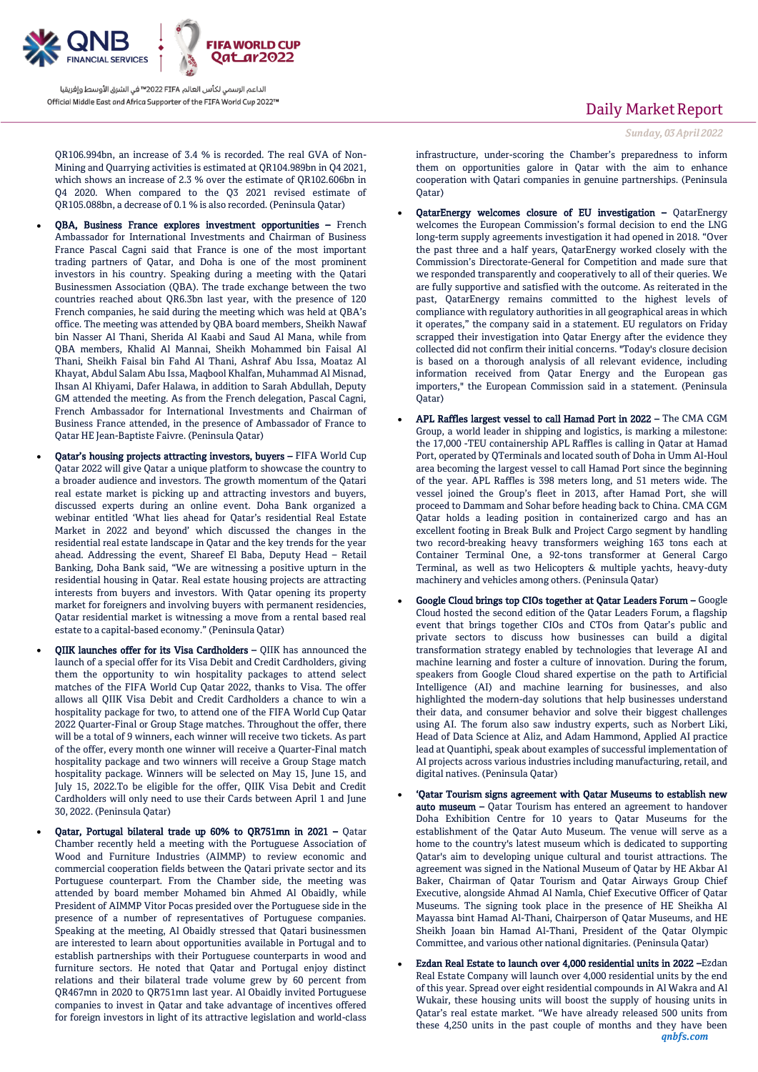

QR106.994bn, an increase of 3.4 % is recorded. The real GVA of Non-Mining and Quarrying activities is estimated at QR104.989bn in Q4 2021, which shows an increase of 2.3 % over the estimate of QR102.606bn in Q4 2020. When compared to the Q3 2021 revised estimate of QR105.088bn, a decrease of 0.1 % is also recorded. (Peninsula Qatar)

- QBA, Business France explores investment opportunities French Ambassador for International Investments and Chairman of Business France Pascal Cagni said that France is one of the most important trading partners of Qatar, and Doha is one of the most prominent investors in his country. Speaking during a meeting with the Qatari Businessmen Association (QBA). The trade exchange between the two countries reached about QR6.3bn last year, with the presence of 120 French companies, he said during the meeting which was held at QBA's office. The meeting was attended by QBA board members, Sheikh Nawaf bin Nasser Al Thani, Sherida Al Kaabi and Saud Al Mana, while from QBA members, Khalid Al Mannai, Sheikh Mohammed bin Faisal Al Thani, Sheikh Faisal bin Fahd Al Thani, Ashraf Abu Issa, Moataz Al Khayat, Abdul Salam Abu Issa, Maqbool Khalfan, Muhammad Al Misnad, Ihsan Al Khiyami, Dafer Halawa, in addition to Sarah Abdullah, Deputy GM attended the meeting. As from the French delegation, Pascal Cagni, French Ambassador for International Investments and Chairman of Business France attended, in the presence of Ambassador of France to Qatar HE Jean-Baptiste Faivre. (Peninsula Qatar)
- Qatar's housing projects attracting investors, buyers FIFA World Cup Qatar 2022 will give Qatar a unique platform to showcase the country to a broader audience and investors. The growth momentum of the Qatari real estate market is picking up and attracting investors and buyers, discussed experts during an online event. Doha Bank organized a webinar entitled 'What lies ahead for Qatar's residential Real Estate Market in 2022 and beyond' which discussed the changes in the residential real estate landscape in Qatar and the key trends for the year ahead. Addressing the event, Shareef El Baba, Deputy Head – Retail Banking, Doha Bank said, "We are witnessing a positive upturn in the residential housing in Qatar. Real estate housing projects are attracting interests from buyers and investors. With Qatar opening its property market for foreigners and involving buyers with permanent residencies, Qatar residential market is witnessing a move from a rental based real estate to a capital-based economy." (Peninsula Qatar)
- QIIK launches offer for its Visa Cardholders QIIK has announced the launch of a special offer for its Visa Debit and Credit Cardholders, giving them the opportunity to win hospitality packages to attend select matches of the FIFA World Cup Qatar 2022, thanks to Visa. The offer allows all QIIK Visa Debit and Credit Cardholders a chance to win a hospitality package for two, to attend one of the FIFA World Cup Qatar 2022 Quarter-Final or Group Stage matches. Throughout the offer, there will be a total of 9 winners, each winner will receive two tickets. As part of the offer, every month one winner will receive a Quarter-Final match hospitality package and two winners will receive a Group Stage match hospitality package. Winners will be selected on May 15, June 15, and July 15, 2022.To be eligible for the offer, QIIK Visa Debit and Credit Cardholders will only need to use their Cards between April 1 and June 30, 2022. (Peninsula Qatar)
- Qatar, Portugal bilateral trade up 60% to QR751mn in 2021 Qatar Chamber recently held a meeting with the Portuguese Association of Wood and Furniture Industries (AIMMP) to review economic and commercial cooperation fields between the Qatari private sector and its Portuguese counterpart. From the Chamber side, the meeting was attended by board member Mohamed bin Ahmed Al Obaidly, while President of AIMMP Vitor Pocas presided over the Portuguese side in the presence of a number of representatives of Portuguese companies. Speaking at the meeting, Al Obaidly stressed that Qatari businessmen are interested to learn about opportunities available in Portugal and to establish partnerships with their Portuguese counterparts in wood and furniture sectors. He noted that Qatar and Portugal enjoy distinct relations and their bilateral trade volume grew by 60 percent from QR467mn in 2020 to QR751mn last year. Al Obaidly invited Portuguese companies to invest in Qatar and take advantage of incentives offered for foreign investors in light of its attractive legislation and world-class

## Daily Market Report

*Sunday, 03April 2022*

infrastructure, under-scoring the Chamber's preparedness to inform them on opportunities galore in Qatar with the aim to enhance cooperation with Qatari companies in genuine partnerships. (Peninsula Qatar)

- QatarEnergy welcomes closure of EU investigation QatarEnergy welcomes the European Commission's formal decision to end the LNG long-term supply agreements investigation it had opened in 2018. "Over the past three and a half years, QatarEnergy worked closely with the Commission's Directorate-General for Competition and made sure that we responded transparently and cooperatively to all of their queries. We are fully supportive and satisfied with the outcome. As reiterated in the past, QatarEnergy remains committed to the highest levels of compliance with regulatory authorities in all geographical areas in which it operates," the company said in a statement. EU regulators on Friday scrapped their investigation into Qatar Energy after the evidence they collected did not confirm their initial concerns. "Today's closure decision is based on a thorough analysis of all relevant evidence, including information received from Qatar Energy and the European gas importers," the European Commission said in a statement. (Peninsula Qatar)
- APL Raffles largest vessel to call Hamad Port in 2022 The CMA CGM Group, a world leader in shipping and logistics, is marking a milestone: the 17,000 -TEU containership APL Raffles is calling in Qatar at Hamad Port, operated by QTerminals and located south of Doha in Umm Al-Houl area becoming the largest vessel to call Hamad Port since the beginning of the year. APL Raffles is 398 meters long, and 51 meters wide. The vessel joined the Group's fleet in 2013, after Hamad Port, she will proceed to Dammam and Sohar before heading back to China. CMA CGM Qatar holds a leading position in containerized cargo and has an excellent footing in Break Bulk and Project Cargo segment by handling two record-breaking heavy transformers weighing 163 tons each at Container Terminal One, a 92-tons transformer at General Cargo Terminal, as well as two Helicopters & multiple yachts, heavy-duty machinery and vehicles among others. (Peninsula Qatar)
- Google Cloud brings top CIOs together at Qatar Leaders Forum Google Cloud hosted the second edition of the Qatar Leaders Forum, a flagship event that brings together CIOs and CTOs from Qatar's public and private sectors to discuss how businesses can build a digital transformation strategy enabled by technologies that leverage AI and machine learning and foster a culture of innovation. During the forum, speakers from Google Cloud shared expertise on the path to Artificial Intelligence (AI) and machine learning for businesses, and also highlighted the modern-day solutions that help businesses understand their data, and consumer behavior and solve their biggest challenges using AI. The forum also saw industry experts, such as Norbert Liki, Head of Data Science at Aliz, and Adam Hammond, Applied AI practice lead at Quantiphi, speak about examples of successful implementation of AI projects across various industries including manufacturing, retail, and digital natives. (Peninsula Qatar)
- 'Qatar Tourism signs agreement with Qatar Museums to establish new auto museum – Qatar Tourism has entered an agreement to handover Doha Exhibition Centre for 10 years to Qatar Museums for the establishment of the Qatar Auto Museum. The venue will serve as a home to the country's latest museum which is dedicated to supporting Qatar's aim to developing unique cultural and tourist attractions. The agreement was signed in the National Museum of Qatar by HE Akbar Al Baker, Chairman of Qatar Tourism and Qatar Airways Group Chief Executive, alongside Ahmad Al Namla, Chief Executive Officer of Qatar Museums. The signing took place in the presence of HE Sheikha Al Mayassa bint Hamad Al-Thani, Chairperson of Qatar Museums, and HE Sheikh Joaan bin Hamad Al-Thani, President of the Qatar Olympic Committee, and various other national dignitaries. (Peninsula Qatar)
- *qnbfs.com* Ezdan Real Estate to launch over 4,000 residential units in 2022 –Ezdan Real Estate Company will launch over 4,000 residential units by the end of this year. Spread over eight residential compounds in Al Wakra and Al Wukair, these housing units will boost the supply of housing units in Qatar's real estate market. "We have already released 500 units from these 4,250 units in the past couple of months and they have been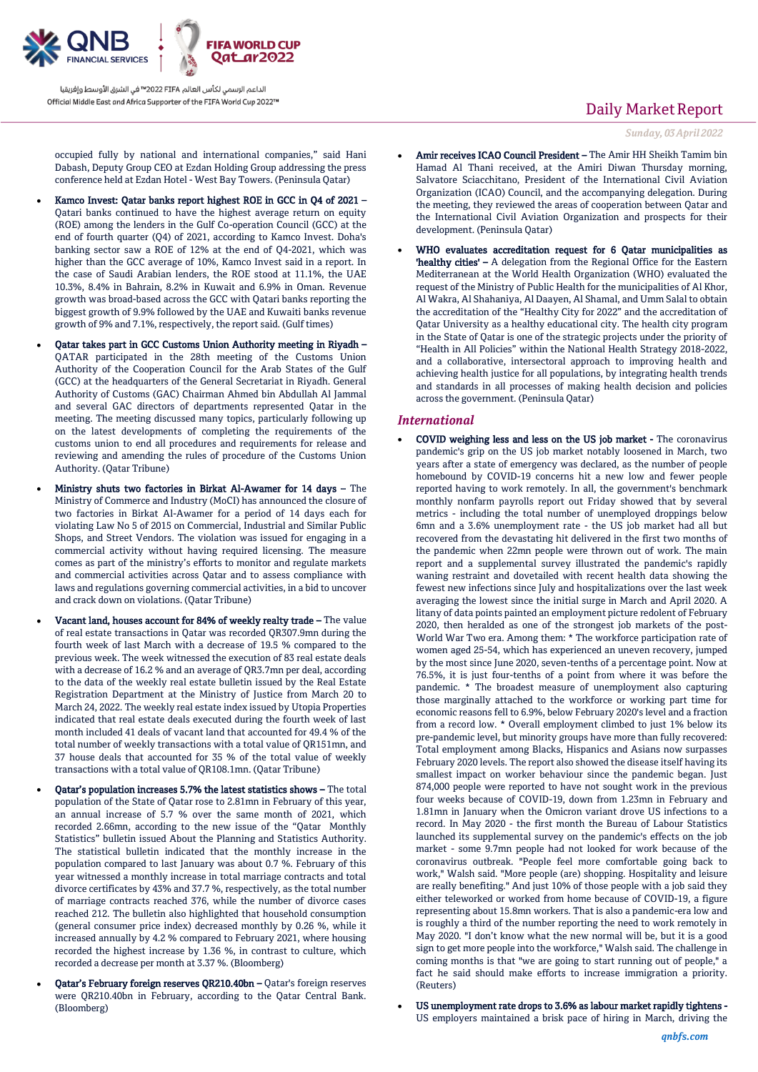

occupied fully by national and international companies," said Hani Dabash, Deputy Group CEO at Ezdan Holding Group addressing the press conference held at Ezdan Hotel - West Bay Towers. (Peninsula Qatar)

- Kamco Invest: Qatar banks report highest ROE in GCC in Q4 of 2021 Qatari banks continued to have the highest average return on equity (ROE) among the lenders in the Gulf Co-operation Council (GCC) at the end of fourth quarter (Q4) of 2021, according to Kamco Invest. Doha's banking sector saw a ROE of 12% at the end of Q4-2021, which was higher than the GCC average of 10%, Kamco Invest said in a report. In the case of Saudi Arabian lenders, the ROE stood at 11.1%, the UAE 10.3%, 8.4% in Bahrain, 8.2% in Kuwait and 6.9% in Oman. Revenue growth was broad-based across the GCC with Qatari banks reporting the biggest growth of 9.9% followed by the UAE and Kuwaiti banks revenue growth of 9% and 7.1%, respectively, the report said. (Gulf times)
- Qatar takes part in GCC Customs Union Authority meeting in Riyadh QATAR participated in the 28th meeting of the Customs Union Authority of the Cooperation Council for the Arab States of the Gulf (GCC) at the headquarters of the General Secretariat in Riyadh. General Authority of Customs (GAC) Chairman Ahmed bin Abdullah Al Jammal and several GAC directors of departments represented Qatar in the meeting. The meeting discussed many topics, particularly following up on the latest developments of completing the requirements of the customs union to end all procedures and requirements for release and reviewing and amending the rules of procedure of the Customs Union Authority. (Qatar Tribune)
- Ministry shuts two factories in Birkat Al-Awamer for 14 days The Ministry of Commerce and Industry (MoCI) has announced the closure of two factories in Birkat Al-Awamer for a period of 14 days each for violating Law No 5 of 2015 on Commercial, Industrial and Similar Public Shops, and Street Vendors. The violation was issued for engaging in a commercial activity without having required licensing. The measure comes as part of the ministry's efforts to monitor and regulate markets and commercial activities across Qatar and to assess compliance with laws and regulations governing commercial activities, in a bid to uncover and crack down on violations. (Qatar Tribune)
- Vacant land, houses account for 84% of weekly realty trade The value of real estate transactions in Qatar was recorded QR307.9mn during the fourth week of last March with a decrease of 19.5 % compared to the previous week. The week witnessed the execution of 83 real estate deals with a decrease of 16.2 % and an average of QR3.7mn per deal, according to the data of the weekly real estate bulletin issued by the Real Estate Registration Department at the Ministry of Justice from March 20 to March 24, 2022. The weekly real estate index issued by Utopia Properties indicated that real estate deals executed during the fourth week of last month included 41 deals of vacant land that accounted for 49.4 % of the total number of weekly transactions with a total value of QR151mn, and 37 house deals that accounted for 35 % of the total value of weekly transactions with a total value of QR108.1mn. (Qatar Tribune)
- Qatar's population increases 5.7% the latest statistics shows The total population of the State of Qatar rose to 2.81mn in February of this year, an annual increase of 5.7 % over the same month of 2021, which recorded 2.66mn, according to the new issue of the "Qatar Monthly Statistics" bulletin issued About the Planning and Statistics Authority. The statistical bulletin indicated that the monthly increase in the population compared to last January was about 0.7 %. February of this year witnessed a monthly increase in total marriage contracts and total divorce certificates by 43% and 37.7 %, respectively, as the total number of marriage contracts reached 376, while the number of divorce cases reached 212. The bulletin also highlighted that household consumption (general consumer price index) decreased monthly by 0.26 %, while it increased annually by 4.2 % compared to February 2021, where housing recorded the highest increase by 1.36 %, in contrast to culture, which recorded a decrease per month at 3.37 %. (Bloomberg)
- Qatar's February foreign reserves QR210.40bn Qatar's foreign reserves were QR210.40bn in February, according to the Qatar Central Bank. (Bloomberg)

## Daily Market Report

*Sunday, 03April 2022*

- Amir receives ICAO Council President The Amir HH Sheikh Tamim bin Hamad Al Thani received, at the Amiri Diwan Thursday morning, Salvatore Sciacchitano, President of the International Civil Aviation Organization (ICAO) Council, and the accompanying delegation. During the meeting, they reviewed the areas of cooperation between Qatar and the International Civil Aviation Organization and prospects for their development. (Peninsula Qatar)
- WHO evaluates accreditation request for 6 Qatar municipalities as 'healthy cities' - A delegation from the Regional Office for the Eastern Mediterranean at the World Health Organization (WHO) evaluated the request of the Ministry of Public Health for the municipalities of Al Khor, Al Wakra, Al Shahaniya, Al Daayen, Al Shamal, and Umm Salal to obtain the accreditation of the "Healthy City for 2022" and the accreditation of Qatar University as a healthy educational city. The health city program in the State of Qatar is one of the strategic projects under the priority of "Health in All Policies" within the National Health Strategy 2018-2022, and a collaborative, intersectoral approach to improving health and achieving health justice for all populations, by integrating health trends and standards in all processes of making health decision and policies across the government. (Peninsula Qatar)

#### *International*

- COVID weighing less and less on the US job market The coronavirus pandemic's grip on the US job market notably loosened in March, two years after a state of emergency was declared, as the number of people homebound by COVID-19 concerns hit a new low and fewer people reported having to work remotely. In all, the government's benchmark monthly nonfarm payrolls report out Friday showed that by several metrics - including the total number of unemployed droppings below 6mn and a 3.6% unemployment rate - the US job market had all but recovered from the devastating hit delivered in the first two months of the pandemic when 22mn people were thrown out of work. The main report and a supplemental survey illustrated the pandemic's rapidly waning restraint and dovetailed with recent health data showing the fewest new infections since July and hospitalizations over the last week averaging the lowest since the initial surge in March and April 2020. A litany of data points painted an employment picture redolent of February 2020, then heralded as one of the strongest job markets of the post-World War Two era. Among them: \* The workforce participation rate of women aged 25-54, which has experienced an uneven recovery, jumped by the most since June 2020, seven-tenths of a percentage point. Now at 76.5%, it is just four-tenths of a point from where it was before the pandemic. \* The broadest measure of unemployment also capturing those marginally attached to the workforce or working part time for economic reasons fell to 6.9%, below February 2020's level and a fraction from a record low. \* Overall employment climbed to just 1% below its pre-pandemic level, but minority groups have more than fully recovered: Total employment among Blacks, Hispanics and Asians now surpasses February 2020 levels. The report also showed the disease itself having its smallest impact on worker behaviour since the pandemic began. Just 874,000 people were reported to have not sought work in the previous four weeks because of COVID-19, down from 1.23mn in February and 1.81mn in January when the Omicron variant drove US infections to a record. In May 2020 - the first month the Bureau of Labour Statistics launched its supplemental survey on the pandemic's effects on the job market - some 9.7mn people had not looked for work because of the coronavirus outbreak. "People feel more comfortable going back to work," Walsh said. "More people (are) shopping. Hospitality and leisure are really benefiting." And just 10% of those people with a job said they either teleworked or worked from home because of COVID-19, a figure representing about 15.8mn workers. That is also a pandemic-era low and is roughly a third of the number reporting the need to work remotely in May 2020. "I don't know what the new normal will be, but it is a good sign to get more people into the workforce," Walsh said. The challenge in coming months is that "we are going to start running out of people," a fact he said should make efforts to increase immigration a priority. (Reuters)
- US unemployment rate drops to 3.6% as labour market rapidly tightens US employers maintained a brisk pace of hiring in March, driving the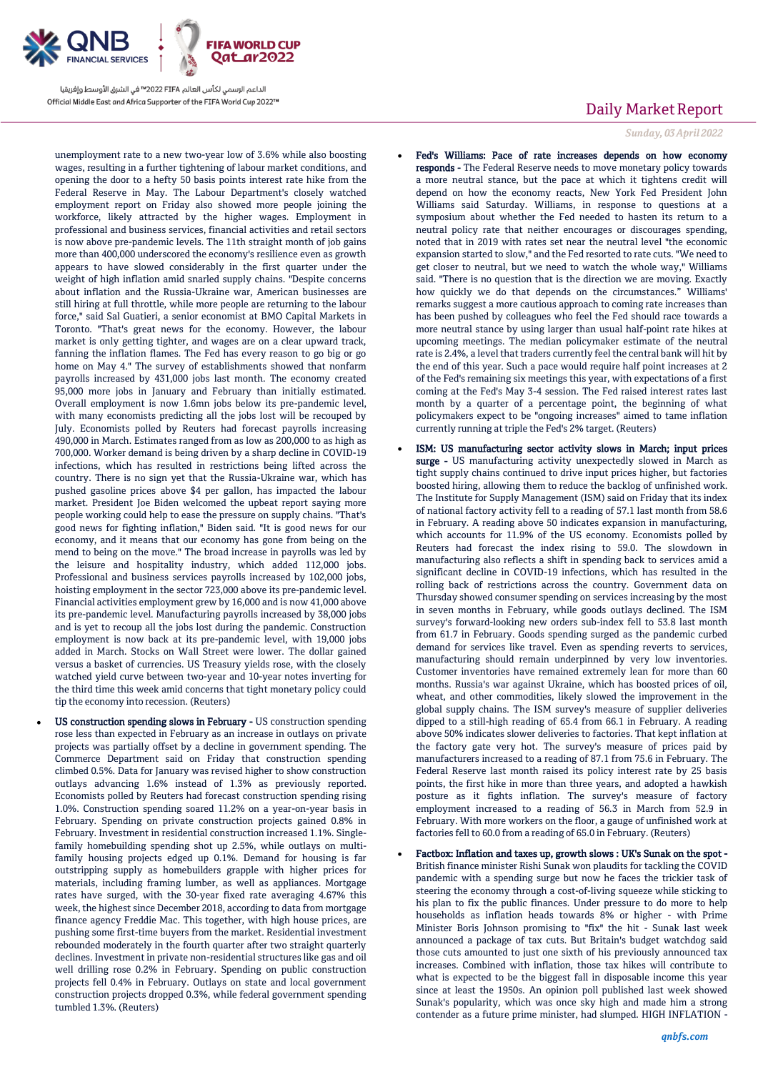

unemployment rate to a new two-year low of 3.6% while also boosting wages, resulting in a further tightening of labour market conditions, and opening the door to a hefty 50 basis points interest rate hike from the Federal Reserve in May. The Labour Department's closely watched employment report on Friday also showed more people joining the workforce, likely attracted by the higher wages. Employment in professional and business services, financial activities and retail sectors is now above pre-pandemic levels. The 11th straight month of job gains more than 400,000 underscored the economy's resilience even as growth appears to have slowed considerably in the first quarter under the weight of high inflation amid snarled supply chains. "Despite concerns about inflation and the Russia-Ukraine war, American businesses are still hiring at full throttle, while more people are returning to the labour force," said Sal Guatieri, a senior economist at BMO Capital Markets in Toronto. "That's great news for the economy. However, the labour market is only getting tighter, and wages are on a clear upward track, fanning the inflation flames. The Fed has every reason to go big or go home on May 4." The survey of establishments showed that nonfarm payrolls increased by 431,000 jobs last month. The economy created 95,000 more jobs in January and February than initially estimated. Overall employment is now 1.6mn jobs below its pre-pandemic level, with many economists predicting all the jobs lost will be recouped by July. Economists polled by Reuters had forecast payrolls increasing 490,000 in March. Estimates ranged from as low as 200,000 to as high as 700,000. Worker demand is being driven by a sharp decline in COVID-19 infections, which has resulted in restrictions being lifted across the country. There is no sign yet that the Russia-Ukraine war, which has pushed gasoline prices above \$4 per gallon, has impacted the labour market. President Joe Biden welcomed the upbeat report saying more people working could help to ease the pressure on supply chains. "That's good news for fighting inflation," Biden said. "It is good news for our economy, and it means that our economy has gone from being on the mend to being on the move." The broad increase in payrolls was led by the leisure and hospitality industry, which added 112,000 jobs. Professional and business services payrolls increased by 102,000 jobs, hoisting employment in the sector 723,000 above its pre-pandemic level. Financial activities employment grew by 16,000 and is now 41,000 above its pre-pandemic level. Manufacturing payrolls increased by 38,000 jobs and is yet to recoup all the jobs lost during the pandemic. Construction employment is now back at its pre-pandemic level, with 19,000 jobs added in March. Stocks on Wall Street were lower. The dollar gained versus a basket of currencies. US Treasury yields rose, with the closely watched yield curve between two-year and 10-year notes inverting for the third time this week amid concerns that tight monetary policy could tip the economy into recession. (Reuters)

 US construction spending slows in February - US construction spending rose less than expected in February as an increase in outlays on private projects was partially offset by a decline in government spending. The Commerce Department said on Friday that construction spending climbed 0.5%. Data for January was revised higher to show construction outlays advancing 1.6% instead of 1.3% as previously reported. Economists polled by Reuters had forecast construction spending rising 1.0%. Construction spending soared 11.2% on a year-on-year basis in February. Spending on private construction projects gained 0.8% in February. Investment in residential construction increased 1.1%. Singlefamily homebuilding spending shot up 2.5%, while outlays on multifamily housing projects edged up 0.1%. Demand for housing is far outstripping supply as homebuilders grapple with higher prices for materials, including framing lumber, as well as appliances. Mortgage rates have surged, with the 30-year fixed rate averaging 4.67% this week, the highest since December 2018, according to data from mortgage finance agency Freddie Mac. This together, with high house prices, are pushing some first-time buyers from the market. Residential investment rebounded moderately in the fourth quarter after two straight quarterly declines. Investment in private non-residential structures like gas and oil well drilling rose 0.2% in February. Spending on public construction projects fell 0.4% in February. Outlays on state and local government construction projects dropped 0.3%, while federal government spending tumbled 1.3%. (Reuters)

## Daily Market Report

*Sunday, 03April 2022*

- Fed's Williams: Pace of rate increases depends on how economy responds - The Federal Reserve needs to move monetary policy towards a more neutral stance, but the pace at which it tightens credit will depend on how the economy reacts, New York Fed President John Williams said Saturday. Williams, in response to questions at a symposium about whether the Fed needed to hasten its return to a neutral policy rate that neither encourages or discourages spending, noted that in 2019 with rates set near the neutral level "the economic expansion started to slow," and the Fed resorted to rate cuts. "We need to get closer to neutral, but we need to watch the whole way," Williams said. "There is no question that is the direction we are moving. Exactly how quickly we do that depends on the circumstances." Williams' remarks suggest a more cautious approach to coming rate increases than has been pushed by colleagues who feel the Fed should race towards a more neutral stance by using larger than usual half-point rate hikes at upcoming meetings. The median policymaker estimate of the neutral rate is 2.4%, a level that traders currently feel the central bank will hit by the end of this year. Such a pace would require half point increases at 2 of the Fed's remaining six meetings this year, with expectations of a first coming at the Fed's May 3-4 session. The Fed raised interest rates last month by a quarter of a percentage point, the beginning of what policymakers expect to be "ongoing increases" aimed to tame inflation currently running at triple the Fed's 2% target. (Reuters)
- ISM: US manufacturing sector activity slows in March; input prices surge - US manufacturing activity unexpectedly slowed in March as tight supply chains continued to drive input prices higher, but factories boosted hiring, allowing them to reduce the backlog of unfinished work. The Institute for Supply Management (ISM) said on Friday that its index of national factory activity fell to a reading of 57.1 last month from 58.6 in February. A reading above 50 indicates expansion in manufacturing, which accounts for 11.9% of the US economy. Economists polled by Reuters had forecast the index rising to 59.0. The slowdown in manufacturing also reflects a shift in spending back to services amid a significant decline in COVID-19 infections, which has resulted in the rolling back of restrictions across the country. Government data on Thursday showed consumer spending on services increasing by the most in seven months in February, while goods outlays declined. The ISM survey's forward-looking new orders sub-index fell to 53.8 last month from 61.7 in February. Goods spending surged as the pandemic curbed demand for services like travel. Even as spending reverts to services, manufacturing should remain underpinned by very low inventories. Customer inventories have remained extremely lean for more than 60 months. Russia's war against Ukraine, which has boosted prices of oil, wheat, and other commodities, likely slowed the improvement in the global supply chains. The ISM survey's measure of supplier deliveries dipped to a still-high reading of 65.4 from 66.1 in February. A reading above 50% indicates slower deliveries to factories. That kept inflation at the factory gate very hot. The survey's measure of prices paid by manufacturers increased to a reading of 87.1 from 75.6 in February. The Federal Reserve last month raised its policy interest rate by 25 basis points, the first hike in more than three years, and adopted a hawkish posture as it fights inflation. The survey's measure of factory employment increased to a reading of 56.3 in March from 52.9 in February. With more workers on the floor, a gauge of unfinished work at factories fell to 60.0 from a reading of 65.0 in February. (Reuters)
- Factbox: Inflation and taxes up, growth slows : UK's Sunak on the spot British finance minister Rishi Sunak won plaudits for tackling the COVID pandemic with a spending surge but now he faces the trickier task of steering the economy through a cost-of-living squeeze while sticking to his plan to fix the public finances. Under pressure to do more to help households as inflation heads towards 8% or higher - with Prime Minister Boris Johnson promising to "fix" the hit - Sunak last week announced a package of tax cuts. But Britain's budget watchdog said those cuts amounted to just one sixth of his previously announced tax increases. Combined with inflation, those tax hikes will contribute to what is expected to be the biggest fall in disposable income this year since at least the 1950s. An opinion poll published last week showed Sunak's popularity, which was once sky high and made him a strong contender as a future prime minister, had slumped. HIGH INFLATION -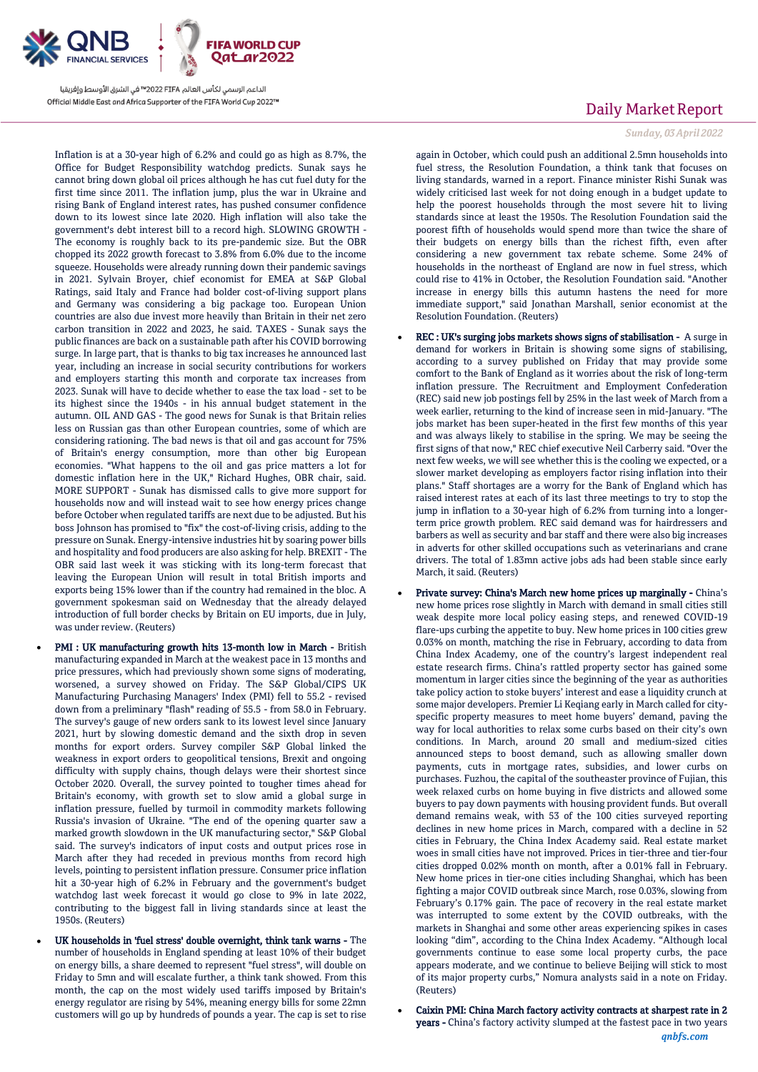

Inflation is at a 30-year high of 6.2% and could go as high as 8.7%, the Office for Budget Responsibility watchdog predicts. Sunak says he cannot bring down global oil prices although he has cut fuel duty for the first time since 2011. The inflation jump, plus the war in Ukraine and rising Bank of England interest rates, has pushed consumer confidence down to its lowest since late 2020. High inflation will also take the government's debt interest bill to a record high. SLOWING GROWTH - The economy is roughly back to its pre-pandemic size. But the OBR chopped its 2022 growth forecast to 3.8% from 6.0% due to the income squeeze. Households were already running down their pandemic savings in 2021. Sylvain Broyer, chief economist for EMEA at S&P Global Ratings, said Italy and France had bolder cost-of-living support plans and Germany was considering a big package too. European Union countries are also due invest more heavily than Britain in their net zero carbon transition in 2022 and 2023, he said. TAXES - Sunak says the public finances are back on a sustainable path after his COVID borrowing surge. In large part, that is thanks to big tax increases he announced last year, including an increase in social security contributions for workers and employers starting this month and corporate tax increases from 2023. Sunak will have to decide whether to ease the tax load - set to be its highest since the 1940s - in his annual budget statement in the autumn. OIL AND GAS - The good news for Sunak is that Britain relies less on Russian gas than other European countries, some of which are considering rationing. The bad news is that oil and gas account for 75% of Britain's energy consumption, more than other big European economies. "What happens to the oil and gas price matters a lot for domestic inflation here in the UK," Richard Hughes, OBR chair, said. MORE SUPPORT - Sunak has dismissed calls to give more support for households now and will instead wait to see how energy prices change before October when regulated tariffs are next due to be adjusted. But his boss Johnson has promised to "fix" the cost-of-living crisis, adding to the pressure on Sunak. Energy-intensive industries hit by soaring power bills and hospitality and food producers are also asking for help. BREXIT - The OBR said last week it was sticking with its long-term forecast that leaving the European Union will result in total British imports and exports being 15% lower than if the country had remained in the bloc. A government spokesman said on Wednesday that the already delayed introduction of full border checks by Britain on EU imports, due in July, was under review. (Reuters)

- PMI : UK manufacturing growth hits 13-month low in March British manufacturing expanded in March at the weakest pace in 13 months and price pressures, which had previously shown some signs of moderating, worsened, a survey showed on Friday. The S&P Global/CIPS UK Manufacturing Purchasing Managers' Index (PMI) fell to 55.2 - revised down from a preliminary "flash" reading of 55.5 - from 58.0 in February. The survey's gauge of new orders sank to its lowest level since January 2021, hurt by slowing domestic demand and the sixth drop in seven months for export orders. Survey compiler S&P Global linked the weakness in export orders to geopolitical tensions, Brexit and ongoing difficulty with supply chains, though delays were their shortest since October 2020. Overall, the survey pointed to tougher times ahead for Britain's economy, with growth set to slow amid a global surge in inflation pressure, fuelled by turmoil in commodity markets following Russia's invasion of Ukraine. "The end of the opening quarter saw a marked growth slowdown in the UK manufacturing sector," S&P Global said. The survey's indicators of input costs and output prices rose in March after they had receded in previous months from record high levels, pointing to persistent inflation pressure. Consumer price inflation hit a 30-year high of 6.2% in February and the government's budget watchdog last week forecast it would go close to 9% in late 2022, contributing to the biggest fall in living standards since at least the 1950s. (Reuters)
- UK households in 'fuel stress' double overnight, think tank warns The number of households in England spending at least 10% of their budget on energy bills, a share deemed to represent "fuel stress", will double on Friday to 5mn and will escalate further, a think tank showed. From this month, the cap on the most widely used tariffs imposed by Britain's energy regulator are rising by 54%, meaning energy bills for some 22mn customers will go up by hundreds of pounds a year. The cap is set to rise

## Daily Market Report

#### *Sunday, 03April 2022*

again in October, which could push an additional 2.5mn households into fuel stress, the Resolution Foundation, a think tank that focuses on living standards, warned in a report. Finance minister Rishi Sunak was widely criticised last week for not doing enough in a budget update to help the poorest households through the most severe hit to living standards since at least the 1950s. The Resolution Foundation said the poorest fifth of households would spend more than twice the share of their budgets on energy bills than the richest fifth, even after considering a new government tax rebate scheme. Some 24% of households in the northeast of England are now in fuel stress, which could rise to 41% in October, the Resolution Foundation said. "Another increase in energy bills this autumn hastens the need for more immediate support," said Jonathan Marshall, senior economist at the Resolution Foundation. (Reuters)

- REC : UK's surging jobs markets shows signs of stabilisation A surge in demand for workers in Britain is showing some signs of stabilising, according to a survey published on Friday that may provide some comfort to the Bank of England as it worries about the risk of long-term inflation pressure. The Recruitment and Employment Confederation (REC) said new job postings fell by 25% in the last week of March from a week earlier, returning to the kind of increase seen in mid-January. "The jobs market has been super-heated in the first few months of this year and was always likely to stabilise in the spring. We may be seeing the first signs of that now," REC chief executive Neil Carberry said. "Over the next few weeks, we will see whether this is the cooling we expected, or a slower market developing as employers factor rising inflation into their plans." Staff shortages are a worry for the Bank of England which has raised interest rates at each of its last three meetings to try to stop the jump in inflation to a 30-year high of 6.2% from turning into a longerterm price growth problem. REC said demand was for hairdressers and barbers as well as security and bar staff and there were also big increases in adverts for other skilled occupations such as veterinarians and crane drivers. The total of 1.83mn active jobs ads had been stable since early March, it said. (Reuters)
- Private survey: China's March new home prices up marginally China's new home prices rose slightly in March with demand in small cities still weak despite more local policy easing steps, and renewed COVID-19 flare-ups curbing the appetite to buy. New home prices in 100 cities grew 0.03% on month, matching the rise in February, according to data from China Index Academy, one of the country's largest independent real estate research firms. China's rattled property sector has gained some momentum in larger cities since the beginning of the year as authorities take policy action to stoke buyers' interest and ease a liquidity crunch at some major developers. Premier Li Keqiang early in March called for cityspecific property measures to meet home buyers' demand, paving the way for local authorities to relax some curbs based on their city's own conditions. In March, around 20 small and medium-sized cities announced steps to boost demand, such as allowing smaller down payments, cuts in mortgage rates, subsidies, and lower curbs on purchases. Fuzhou, the capital of the southeaster province of Fujian, this week relaxed curbs on home buying in five districts and allowed some buyers to pay down payments with housing provident funds. But overall demand remains weak, with 53 of the 100 cities surveyed reporting declines in new home prices in March, compared with a decline in 52 cities in February, the China Index Academy said. Real estate market woes in small cities have not improved. Prices in tier-three and tier-four cities dropped 0.02% month on month, after a 0.01% fall in February. New home prices in tier-one cities including Shanghai, which has been fighting a major COVID outbreak since March, rose 0.03%, slowing from February's 0.17% gain. The pace of recovery in the real estate market was interrupted to some extent by the COVID outbreaks, with the markets in Shanghai and some other areas experiencing spikes in cases looking "dim", according to the China Index Academy. "Although local governments continue to ease some local property curbs, the pace appears moderate, and we continue to believe Beijing will stick to most of its major property curbs," Nomura analysts said in a note on Friday. (Reuters)
- *qnbfs.com* Caixin PMI: China March factory activity contracts at sharpest rate in 2 years - China's factory activity slumped at the fastest pace in two years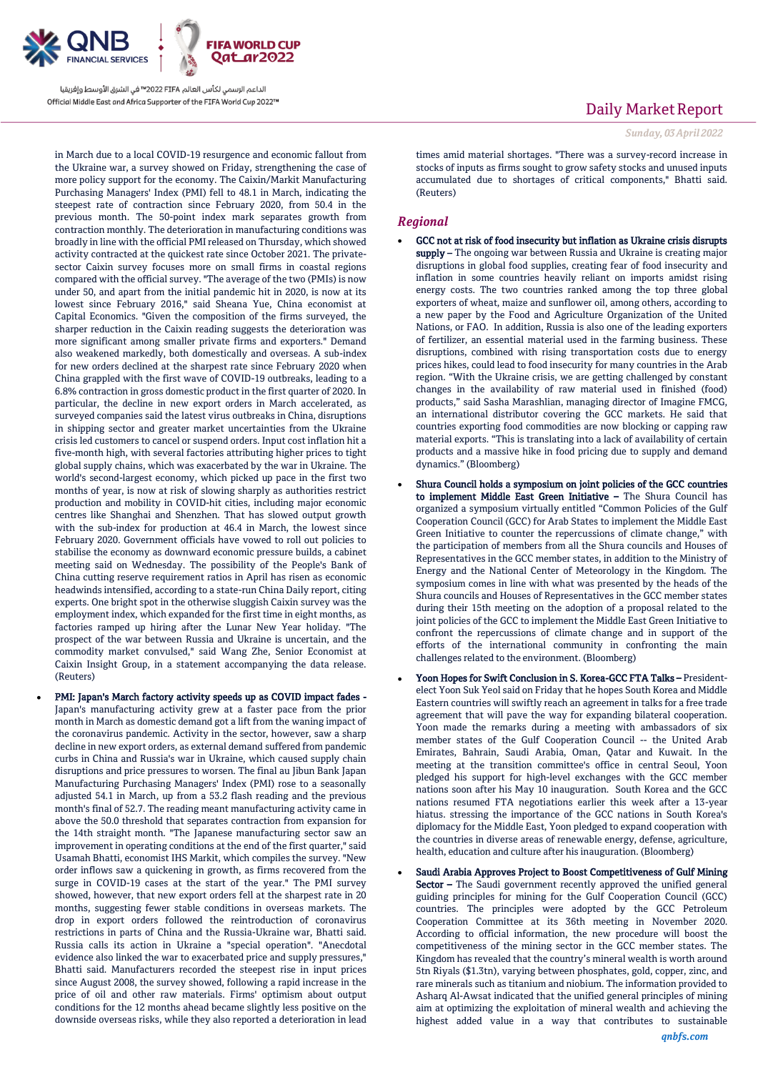

in March due to a local COVID-19 resurgence and economic fallout from the Ukraine war, a survey showed on Friday, strengthening the case of more policy support for the economy. The Caixin/Markit Manufacturing Purchasing Managers' Index (PMI) fell to 48.1 in March, indicating the steepest rate of contraction since February 2020, from 50.4 in the previous month. The 50-point index mark separates growth from contraction monthly. The deterioration in manufacturing conditions was broadly in line with the official PMI released on Thursday, which showed activity contracted at the quickest rate since October 2021. The privatesector Caixin survey focuses more on small firms in coastal regions compared with the official survey. "The average of the two (PMIs) is now under 50, and apart from the initial pandemic hit in 2020, is now at its lowest since February 2016," said Sheana Yue, China economist at Capital Economics. "Given the composition of the firms surveyed, the sharper reduction in the Caixin reading suggests the deterioration was more significant among smaller private firms and exporters." Demand also weakened markedly, both domestically and overseas. A sub-index for new orders declined at the sharpest rate since February 2020 when China grappled with the first wave of COVID-19 outbreaks, leading to a 6.8% contraction in gross domestic product in the first quarter of 2020. In particular, the decline in new export orders in March accelerated, as surveyed companies said the latest virus outbreaks in China, disruptions in shipping sector and greater market uncertainties from the Ukraine crisis led customers to cancel or suspend orders. Input cost inflation hit a five-month high, with several factories attributing higher prices to tight global supply chains, which was exacerbated by the war in Ukraine. The world's second-largest economy, which picked up pace in the first two months of year, is now at risk of slowing sharply as authorities restrict production and mobility in COVID-hit cities, including major economic centres like Shanghai and Shenzhen. That has slowed output growth with the sub-index for production at 46.4 in March, the lowest since February 2020. Government officials have vowed to roll out policies to stabilise the economy as downward economic pressure builds, a cabinet meeting said on Wednesday. The possibility of the People's Bank of China cutting reserve requirement ratios in April has risen as economic headwinds intensified, according to a state-run China Daily report, citing experts. One bright spot in the otherwise sluggish Caixin survey was the employment index, which expanded for the first time in eight months, as factories ramped up hiring after the Lunar New Year holiday. "The prospect of the war between Russia and Ukraine is uncertain, and the commodity market convulsed," said Wang Zhe, Senior Economist at Caixin Insight Group, in a statement accompanying the data release. (Reuters)

 PMI: Japan's March factory activity speeds up as COVID impact fades - Japan's manufacturing activity grew at a faster pace from the prior month in March as domestic demand got a lift from the waning impact of the coronavirus pandemic. Activity in the sector, however, saw a sharp decline in new export orders, as external demand suffered from pandemic curbs in China and Russia's war in Ukraine, which caused supply chain disruptions and price pressures to worsen. The final au Jibun Bank Japan Manufacturing Purchasing Managers' Index (PMI) rose to a seasonally adjusted 54.1 in March, up from a 53.2 flash reading and the previous month's final of 52.7. The reading meant manufacturing activity came in above the 50.0 threshold that separates contraction from expansion for the 14th straight month. "The Japanese manufacturing sector saw an improvement in operating conditions at the end of the first quarter," said Usamah Bhatti, economist IHS Markit, which compiles the survey. "New order inflows saw a quickening in growth, as firms recovered from the surge in COVID-19 cases at the start of the year." The PMI survey showed, however, that new export orders fell at the sharpest rate in 20 months, suggesting fewer stable conditions in overseas markets. The drop in export orders followed the reintroduction of coronavirus restrictions in parts of China and the Russia-Ukraine war, Bhatti said. Russia calls its action in Ukraine a "special operation". "Anecdotal evidence also linked the war to exacerbated price and supply pressures," Bhatti said. Manufacturers recorded the steepest rise in input prices since August 2008, the survey showed, following a rapid increase in the price of oil and other raw materials. Firms' optimism about output conditions for the 12 months ahead became slightly less positive on the downside overseas risks, while they also reported a deterioration in lead

## Daily Market Report

*Sunday, 03April 2022*

times amid material shortages. "There was a survey-record increase in stocks of inputs as firms sought to grow safety stocks and unused inputs accumulated due to shortages of critical components," Bhatti said. (Reuters)

### *Regional*

- GCC not at risk of food insecurity but inflation as Ukraine crisis disrupts supply - The ongoing war between Russia and Ukraine is creating major disruptions in global food supplies, creating fear of food insecurity and inflation in some countries heavily reliant on imports amidst rising energy costs. The two countries ranked among the top three global exporters of wheat, maize and sunflower oil, among others, according to a new paper by the Food and Agriculture Organization of the United Nations, or FAO. In addition, Russia is also one of the leading exporters of fertilizer, an essential material used in the farming business. These disruptions, combined with rising transportation costs due to energy prices hikes, could lead to food insecurity for many countries in the Arab region. "With the Ukraine crisis, we are getting challenged by constant changes in the availability of raw material used in finished (food) products," said Sasha Marashlian, managing director of Imagine FMCG, an international distributor covering the GCC markets. He said that countries exporting food commodities are now blocking or capping raw material exports. "This is translating into a lack of availability of certain products and a massive hike in food pricing due to supply and demand dynamics." (Bloomberg)
- Shura Council holds a symposium on joint policies of the GCC countries to implement Middle East Green Initiative – The Shura Council has organized a symposium virtually entitled "Common Policies of the Gulf Cooperation Council (GCC) for Arab States to implement the Middle East Green Initiative to counter the repercussions of climate change," with the participation of members from all the Shura councils and Houses of Representatives in the GCC member states, in addition to the Ministry of Energy and the National Center of Meteorology in the Kingdom. The symposium comes in line with what was presented by the heads of the Shura councils and Houses of Representatives in the GCC member states during their 15th meeting on the adoption of a proposal related to the joint policies of the GCC to implement the Middle East Green Initiative to confront the repercussions of climate change and in support of the efforts of the international community in confronting the main challenges related to the environment. (Bloomberg)
- Yoon Hopes for Swift Conclusion in S. Korea-GCC FTA Talks Presidentelect Yoon Suk Yeol said on Friday that he hopes South Korea and Middle Eastern countries will swiftly reach an agreement in talks for a free trade agreement that will pave the way for expanding bilateral cooperation. Yoon made the remarks during a meeting with ambassadors of six member states of the Gulf Cooperation Council -- the United Arab Emirates, Bahrain, Saudi Arabia, Oman, Qatar and Kuwait. In the meeting at the transition committee's office in central Seoul, Yoon pledged his support for high-level exchanges with the GCC member nations soon after his May 10 inauguration. South Korea and the GCC nations resumed FTA negotiations earlier this week after a 13-year hiatus. stressing the importance of the GCC nations in South Korea's diplomacy for the Middle East, Yoon pledged to expand cooperation with the countries in diverse areas of renewable energy, defense, agriculture, health, education and culture after his inauguration. (Bloomberg)
- Saudi Arabia Approves Project to Boost Competitiveness of Gulf Mining Sector - The Saudi government recently approved the unified general guiding principles for mining for the Gulf Cooperation Council (GCC) countries. The principles were adopted by the GCC Petroleum Cooperation Committee at its 36th meeting in November 2020. According to official information, the new procedure will boost the competitiveness of the mining sector in the GCC member states. The Kingdom has revealed that the country's mineral wealth is worth around 5tn Riyals (\$1.3tn), varying between phosphates, gold, copper, zinc, and rare minerals such as titanium and niobium. The information provided to Asharq Al-Awsat indicated that the unified general principles of mining aim at optimizing the exploitation of mineral wealth and achieving the highest added value in a way that contributes to sustainable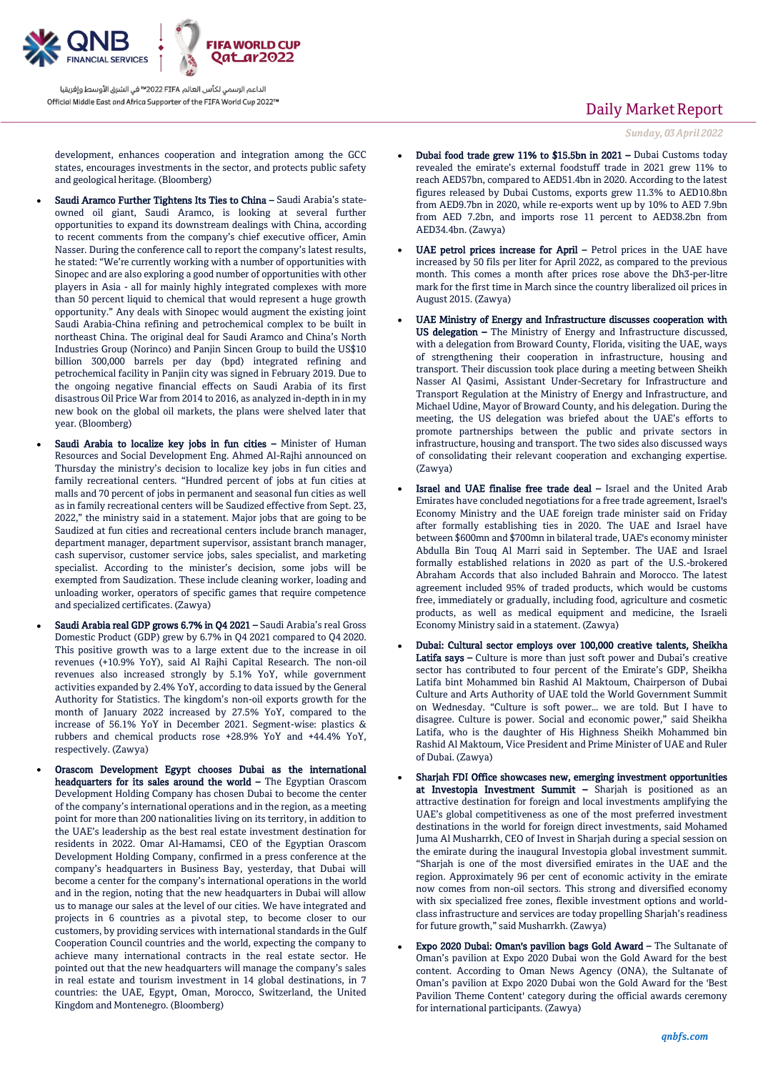

#### development, enhances cooperation and integration among the GCC states, encourages investments in the sector, and protects public safety and geological heritage. (Bloomberg)

- Saudi Aramco Further Tightens Its Ties to China Saudi Arabia's stateowned oil giant, Saudi Aramco, is looking at several further opportunities to expand its downstream dealings with China, according to recent comments from the company's chief executive officer, Amin Nasser. During the conference call to report the company's latest results, he stated: "We're currently working with a number of opportunities with Sinopec and are also exploring a good number of opportunities with other players in Asia - all for mainly highly integrated complexes with more than 50 percent liquid to chemical that would represent a huge growth opportunity." Any deals with Sinopec would augment the existing joint Saudi Arabia-China refining and petrochemical complex to be built in northeast China. The original deal for Saudi Aramco and China's North Industries Group (Norinco) and Panjin Sincen Group to build the US\$10 billion 300,000 barrels per day (bpd) integrated refining and petrochemical facility in Panjin city was signed in February 2019. Due to the ongoing negative financial effects on Saudi Arabia of its first disastrous Oil Price War from 2014 to 2016, as analyzed in-depth in in my new book on the global oil markets, the plans were shelved later that year. (Bloomberg)
- Saudi Arabia to localize key jobs in fun cities Minister of Human Resources and Social Development Eng. Ahmed Al-Rajhi announced on Thursday the ministry's decision to localize key jobs in fun cities and family recreational centers. "Hundred percent of jobs at fun cities at malls and 70 percent of jobs in permanent and seasonal fun cities as well as in family recreational centers will be Saudized effective from Sept. 23, 2022," the ministry said in a statement. Major jobs that are going to be Saudized at fun cities and recreational centers include branch manager, department manager, department supervisor, assistant branch manager, cash supervisor, customer service jobs, sales specialist, and marketing specialist. According to the minister's decision, some jobs will be exempted from Saudization. These include cleaning worker, loading and unloading worker, operators of specific games that require competence and specialized certificates. (Zawya)
- Saudi Arabia real GDP grows 6.7% in Q4 2021 Saudi Arabia's real Gross Domestic Product (GDP) grew by 6.7% in Q4 2021 compared to Q4 2020. This positive growth was to a large extent due to the increase in oil revenues (+10.9% YoY), said Al Rajhi Capital Research. The non-oil revenues also increased strongly by 5.1% YoY, while government activities expanded by 2.4% YoY, according to data issued by the General Authority for Statistics. The kingdom's non-oil exports growth for the month of January 2022 increased by 27.5% YoY, compared to the increase of 56.1% YoY in December 2021. Segment-wise: plastics & rubbers and chemical products rose +28.9% YoY and +44.4% YoY, respectively. (Zawya)
- Orascom Development Egypt chooses Dubai as the international headquarters for its sales around the world – The Egyptian Orascom Development Holding Company has chosen Dubai to become the center of the company's international operations and in the region, as a meeting point for more than 200 nationalities living on its territory, in addition to the UAE's leadership as the best real estate investment destination for residents in 2022. Omar Al-Hamamsi, CEO of the Egyptian Orascom Development Holding Company, confirmed in a press conference at the company's headquarters in Business Bay, yesterday, that Dubai will become a center for the company's international operations in the world and in the region, noting that the new headquarters in Dubai will allow us to manage our sales at the level of our cities. We have integrated and projects in 6 countries as a pivotal step, to become closer to our customers, by providing services with international standards in the Gulf Cooperation Council countries and the world, expecting the company to achieve many international contracts in the real estate sector. He pointed out that the new headquarters will manage the company's sales in real estate and tourism investment in 14 global destinations, in 7 countries: the UAE, Egypt, Oman, Morocco, Switzerland, the United Kingdom and Montenegro. (Bloomberg)

## Daily Market Report

*Sunday, 03April 2022*

- Dubai food trade grew 11% to \$15.5bn in 2021 Dubai Customs today revealed the emirate's external foodstuff trade in 2021 grew 11% to reach AED57bn, compared to AED51.4bn in 2020. According to the latest figures released by Dubai Customs, exports grew 11.3% to AED10.8bn from AED9.7bn in 2020, while re-exports went up by 10% to AED 7.9bn from AED 7.2bn, and imports rose 11 percent to AED38.2bn from AED34.4bn. (Zawya)
- UAE petrol prices increase for April Petrol prices in the UAE have increased by 50 fils per liter for April 2022, as compared to the previous month. This comes a month after prices rose above the Dh3-per-litre mark for the first time in March since the country liberalized oil prices in August 2015. (Zawya)
- UAE Ministry of Energy and Infrastructure discusses cooperation with US delegation – The Ministry of Energy and Infrastructure discussed, with a delegation from Broward County, Florida, visiting the UAE, ways of strengthening their cooperation in infrastructure, housing and transport. Their discussion took place during a meeting between Sheikh Nasser Al Qasimi, Assistant Under-Secretary for Infrastructure and Transport Regulation at the Ministry of Energy and Infrastructure, and Michael Udine, Mayor of Broward County, and his delegation. During the meeting, the US delegation was briefed about the UAE's efforts to promote partnerships between the public and private sectors in infrastructure, housing and transport. The two sides also discussed ways of consolidating their relevant cooperation and exchanging expertise. (Zawya)
- Israel and UAE finalise free trade deal Israel and the United Arab Emirates have concluded negotiations for a free trade agreement, Israel's Economy Ministry and the UAE foreign trade minister said on Friday after formally establishing ties in 2020. The UAE and Israel have between \$600mn and \$700mn in bilateral trade, UAE's economy minister Abdulla Bin Touq Al Marri said in September. The UAE and Israel formally established relations in 2020 as part of the U.S.-brokered Abraham Accords that also included Bahrain and Morocco. The latest agreement included 95% of traded products, which would be customs free, immediately or gradually, including food, agriculture and cosmetic products, as well as medical equipment and medicine, the Israeli Economy Ministry said in a statement. (Zawya)
- Dubai: Cultural sector employs over 100,000 creative talents, Sheikha **Latifa says –** Culture is more than just soft power and Dubai's creative sector has contributed to four percent of the Emirate's GDP, Sheikha Latifa bint Mohammed bin Rashid Al Maktoum, Chairperson of Dubai Culture and Arts Authority of UAE told the World Government Summit on Wednesday. "Culture is soft power… we are told. But I have to disagree. Culture is power. Social and economic power," said Sheikha Latifa, who is the daughter of His Highness Sheikh Mohammed bin Rashid Al Maktoum, Vice President and Prime Minister of UAE and Ruler of Dubai. (Zawya)
- Sharjah FDI Office showcases new, emerging investment opportunities at Investopia Investment Summit – Sharjah is positioned as an attractive destination for foreign and local investments amplifying the UAE's global competitiveness as one of the most preferred investment destinations in the world for foreign direct investments, said Mohamed Juma Al Musharrkh, CEO of Invest in Sharjah during a special session on the emirate during the inaugural Investopia global investment summit. "Sharjah is one of the most diversified emirates in the UAE and the region. Approximately 96 per cent of economic activity in the emirate now comes from non-oil sectors. This strong and diversified economy with six specialized free zones, flexible investment options and worldclass infrastructure and services are today propelling Sharjah's readiness for future growth," said Musharrkh. (Zawya)
- Expo 2020 Dubai: Oman's pavilion bags Gold Award The Sultanate of Oman's pavilion at Expo 2020 Dubai won the Gold Award for the best content. According to Oman News Agency (ONA), the Sultanate of Oman's pavilion at Expo 2020 Dubai won the Gold Award for the 'Best Pavilion Theme Content' category during the official awards ceremony for international participants. (Zawya)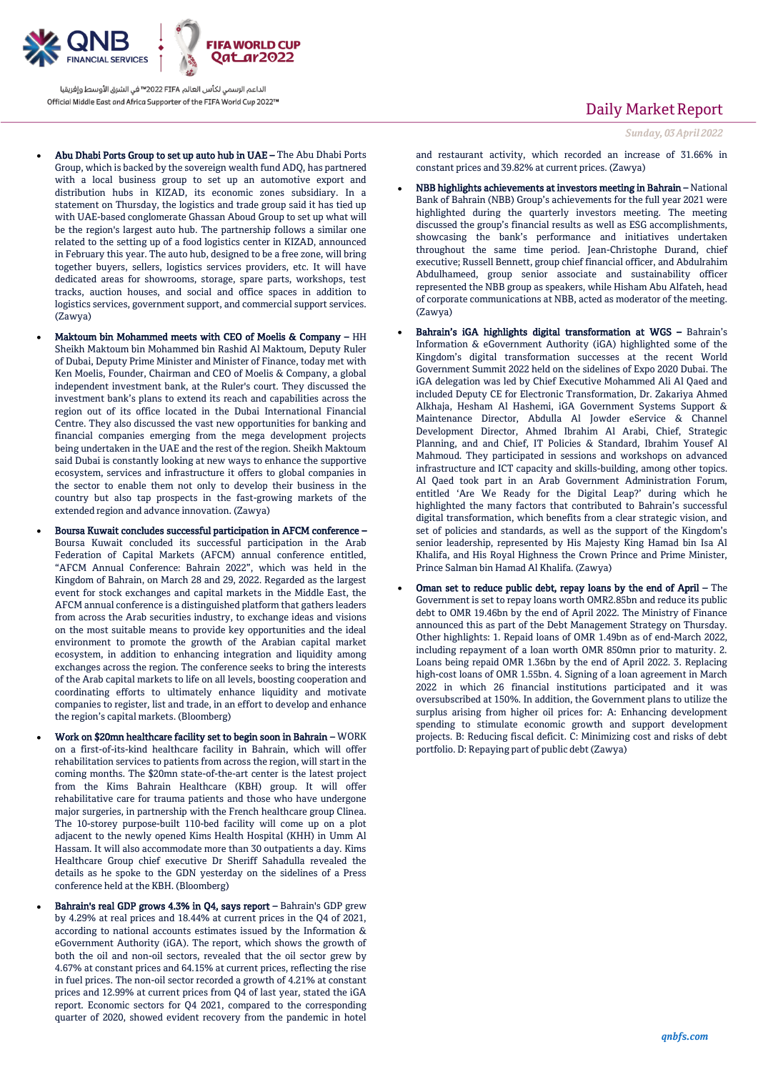

- Abu Dhabi Ports Group to set up auto hub in UAE The Abu Dhabi Ports Group, which is backed by the sovereign wealth fund ADQ, has partnered with a local business group to set up an automotive export and distribution hubs in KIZAD, its economic zones subsidiary. In a statement on Thursday, the logistics and trade group said it has tied up with UAE-based conglomerate Ghassan Aboud Group to set up what will be the region's largest auto hub. The partnership follows a similar one related to the setting up of a food logistics center in KIZAD, announced in February this year. The auto hub, designed to be a free zone, will bring together buyers, sellers, logistics services providers, etc. It will have dedicated areas for showrooms, storage, spare parts, workshops, test tracks, auction houses, and social and office spaces in addition to logistics services, government support, and commercial support services. (Zawya)
- Maktoum bin Mohammed meets with CEO of Moelis & Company HH Sheikh Maktoum bin Mohammed bin Rashid Al Maktoum, Deputy Ruler of Dubai, Deputy Prime Minister and Minister of Finance, today met with Ken Moelis, Founder, Chairman and CEO of Moelis & Company, a global independent investment bank, at the Ruler's court. They discussed the investment bank's plans to extend its reach and capabilities across the region out of its office located in the Dubai International Financial Centre. They also discussed the vast new opportunities for banking and financial companies emerging from the mega development projects being undertaken in the UAE and the rest of the region. Sheikh Maktoum said Dubai is constantly looking at new ways to enhance the supportive ecosystem, services and infrastructure it offers to global companies in the sector to enable them not only to develop their business in the country but also tap prospects in the fast-growing markets of the extended region and advance innovation. (Zawya)
- Boursa Kuwait concludes successful participation in AFCM conference Boursa Kuwait concluded its successful participation in the Arab Federation of Capital Markets (AFCM) annual conference entitled, "AFCM Annual Conference: Bahrain 2022", which was held in the Kingdom of Bahrain, on March 28 and 29, 2022. Regarded as the largest event for stock exchanges and capital markets in the Middle East, the AFCM annual conference is a distinguished platform that gathers leaders from across the Arab securities industry, to exchange ideas and visions on the most suitable means to provide key opportunities and the ideal environment to promote the growth of the Arabian capital market ecosystem, in addition to enhancing integration and liquidity among exchanges across the region. The conference seeks to bring the interests of the Arab capital markets to life on all levels, boosting cooperation and coordinating efforts to ultimately enhance liquidity and motivate companies to register, list and trade, in an effort to develop and enhance the region's capital markets. (Bloomberg)
- Work on \$20mn healthcare facility set to begin soon in Bahrain WORK on a first-of-its-kind healthcare facility in Bahrain, which will offer rehabilitation services to patients from across the region, will start in the coming months. The \$20mn state-of-the-art center is the latest project from the Kims Bahrain Healthcare (KBH) group. It will offer rehabilitative care for trauma patients and those who have undergone major surgeries, in partnership with the French healthcare group Clinea. The 10-storey purpose-built 110-bed facility will come up on a plot adjacent to the newly opened Kims Health Hospital (KHH) in Umm Al Hassam. It will also accommodate more than 30 outpatients a day. Kims Healthcare Group chief executive Dr Sheriff Sahadulla revealed the details as he spoke to the GDN yesterday on the sidelines of a Press conference held at the KBH. (Bloomberg)
- Bahrain's real GDP grows 4.3% in Q4, says report Bahrain's GDP grew by 4.29% at real prices and 18.44% at current prices in the Q4 of 2021, according to national accounts estimates issued by the Information & eGovernment Authority (iGA). The report, which shows the growth of both the oil and non-oil sectors, revealed that the oil sector grew by 4.67% at constant prices and 64.15% at current prices, reflecting the rise in fuel prices. The non-oil sector recorded a growth of 4.21% at constant prices and 12.99% at current prices from Q4 of last year, stated the iGA report. Economic sectors for Q4 2021, compared to the corresponding quarter of 2020, showed evident recovery from the pandemic in hotel

### Daily Market Report

*Sunday, 03April 2022*

and restaurant activity, which recorded an increase of 31.66% in constant prices and 39.82% at current prices. (Zawya)

- NBB highlights achievements at investors meeting in Bahrain National Bank of Bahrain (NBB) Group's achievements for the full year 2021 were highlighted during the quarterly investors meeting. The meeting discussed the group's financial results as well as ESG accomplishments, showcasing the bank's performance and initiatives undertaken throughout the same time period. Jean-Christophe Durand, chief executive; Russell Bennett, group chief financial officer, and Abdulrahim Abdulhameed, group senior associate and sustainability officer represented the NBB group as speakers, while Hisham Abu Alfateh, head of corporate communications at NBB, acted as moderator of the meeting. (Zawya)
- Bahrain's iGA highlights digital transformation at WGS Bahrain's Information & eGovernment Authority (iGA) highlighted some of the Kingdom's digital transformation successes at the recent World Government Summit 2022 held on the sidelines of Expo 2020 Dubai. The iGA delegation was led by Chief Executive Mohammed Ali Al Qaed and included Deputy CE for Electronic Transformation, Dr. Zakariya Ahmed Alkhaja, Hesham Al Hashemi, iGA Government Systems Support & Maintenance Director, Abdulla Al Jowder eService & Channel Development Director, Ahmed Ibrahim Al Arabi, Chief, Strategic Planning, and and Chief, IT Policies & Standard, Ibrahim Yousef Al Mahmoud. They participated in sessions and workshops on advanced infrastructure and ICT capacity and skills-building, among other topics. Al Qaed took part in an Arab Government Administration Forum, entitled 'Are We Ready for the Digital Leap?' during which he highlighted the many factors that contributed to Bahrain's successful digital transformation, which benefits from a clear strategic vision, and set of policies and standards, as well as the support of the Kingdom's senior leadership, represented by His Majesty King Hamad bin Isa Al Khalifa, and His Royal Highness the Crown Prince and Prime Minister, Prince Salman bin Hamad Al Khalifa. (Zawya)
- Oman set to reduce public debt, repay loans by the end of April The Government is set to repay loans worth OMR2.85bn and reduce its public debt to OMR 19.46bn by the end of April 2022. The Ministry of Finance announced this as part of the Debt Management Strategy on Thursday. Other highlights: 1. Repaid loans of OMR 1.49bn as of end-March 2022, including repayment of a loan worth OMR 850mn prior to maturity. 2. Loans being repaid OMR 1.36bn by the end of April 2022. 3. Replacing high-cost loans of OMR 1.55bn. 4. Signing of a loan agreement in March 2022 in which 26 financial institutions participated and it was oversubscribed at 150%. In addition, the Government plans to utilize the surplus arising from higher oil prices for: A: Enhancing development spending to stimulate economic growth and support development projects. B: Reducing fiscal deficit. C: Minimizing cost and risks of debt portfolio. D: Repaying part of public debt (Zawya)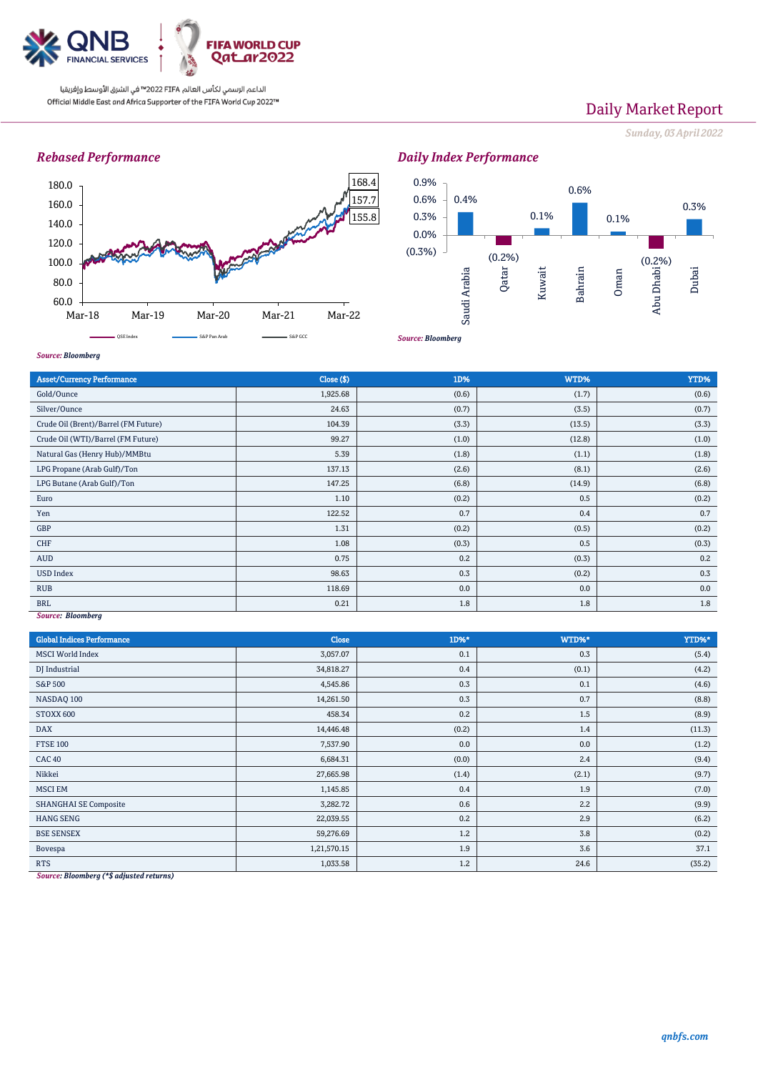

# Daily Market Report

*Sunday, 03April 2022*

### *Rebased Performance*



0.4% (0.2%) 0.1% 0.6% 0.1% (0.2%) 0.3% (0.3%) 0.0% 0.3% 0.6% 0.9% Saudi Arabia Qatar Kuwait Bahrain Oman Abu Dhabi Dubai

*Daily Index Performance*

*Source: Bloomberg*

*Source: Bloomberg*

| <b>Asset/Currency Performance</b>    | Close (\$) | 1D%   | WTD%   | YTD%  |
|--------------------------------------|------------|-------|--------|-------|
| Gold/Ounce                           | 1,925.68   | (0.6) | (1.7)  | (0.6) |
| Silver/Ounce                         | 24.63      | (0.7) | (3.5)  | (0.7) |
| Crude Oil (Brent)/Barrel (FM Future) | 104.39     | (3.3) | (13.5) | (3.3) |
| Crude Oil (WTI)/Barrel (FM Future)   | 99.27      | (1.0) | (12.8) | (1.0) |
| Natural Gas (Henry Hub)/MMBtu        | 5.39       | (1.8) | (1.1)  | (1.8) |
| LPG Propane (Arab Gulf)/Ton          | 137.13     | (2.6) | (8.1)  | (2.6) |
| LPG Butane (Arab Gulf)/Ton           | 147.25     | (6.8) | (14.9) | (6.8) |
| Euro                                 | 1.10       | (0.2) | 0.5    | (0.2) |
| Yen                                  | 122.52     | 0.7   | 0.4    | 0.7   |
| GBP                                  | 1.31       | (0.2) | (0.5)  | (0.2) |
| <b>CHF</b>                           | 1.08       | (0.3) | 0.5    | (0.3) |
| <b>AUD</b>                           | 0.75       | 0.2   | (0.3)  | 0.2   |
| <b>USD Index</b>                     | 98.63      | 0.3   | (0.2)  | 0.3   |
| <b>RUB</b>                           | 118.69     | 0.0   | 0.0    | 0.0   |
| <b>BRL</b>                           | 0.21       | 1.8   | 1.8    | 1.8   |
| Source: Bloomberg                    |            |       |        |       |

| <b>Global Indices Performance</b> | <b>Close</b> | 1D%*  | WTD%* | YTD%*  |
|-----------------------------------|--------------|-------|-------|--------|
| <b>MSCI</b> World Index           | 3,057.07     | 0.1   | 0.3   | (5.4)  |
| DJ Industrial                     | 34,818.27    | 0.4   | (0.1) | (4.2)  |
| <b>S&amp;P 500</b>                | 4,545.86     | 0.3   | 0.1   | (4.6)  |
| NASDAQ 100                        | 14,261.50    | 0.3   | 0.7   | (8.8)  |
| STOXX 600                         | 458.34       | 0.2   | 1.5   | (8.9)  |
| <b>DAX</b>                        | 14,446.48    | (0.2) | 1.4   | (11.3) |
| <b>FTSE 100</b>                   | 7,537.90     | 0.0   | 0.0   | (1.2)  |
| <b>CAC 40</b>                     | 6,684.31     | (0.0) | 2.4   | (9.4)  |
| Nikkei                            | 27,665.98    | (1.4) | (2.1) | (9.7)  |
| <b>MSCIEM</b>                     | 1,145.85     | 0.4   | 1.9   | (7.0)  |
| <b>SHANGHAI SE Composite</b>      | 3,282.72     | 0.6   | 2.2   | (9.9)  |
| <b>HANG SENG</b>                  | 22,039.55    | 0.2   | 2.9   | (6.2)  |
| <b>BSE SENSEX</b>                 | 59,276.69    | 1.2   | 3.8   | (0.2)  |
| Bovespa                           | 1,21,570.15  | 1.9   | 3.6   | 37.1   |
| <b>RTS</b>                        | 1,033.58     | 1.2   | 24.6  | (35.2) |

*Source: Bloomberg (\*\$ adjusted returns)*